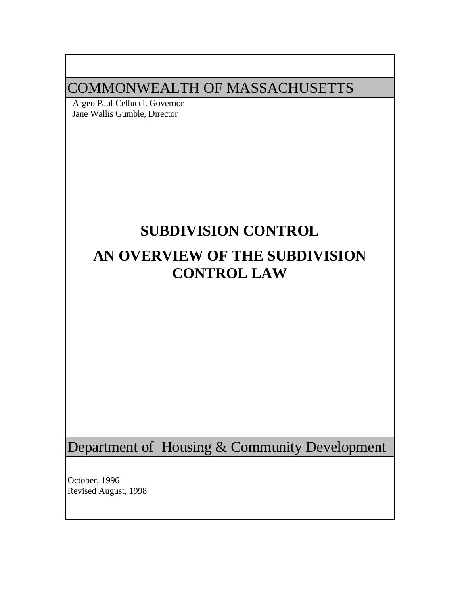# COMMONWEALTH OF MASSACHUSETTS

 Argeo Paul Cellucci, Governor Jane Wallis Gumble, Director

# **SUBDIVISION CONTROL**

# **AN OVERVIEW OF THE SUBDIVISION CONTROL LAW**

Department of Housing & Community Development

October, 1996 Revised August, 1998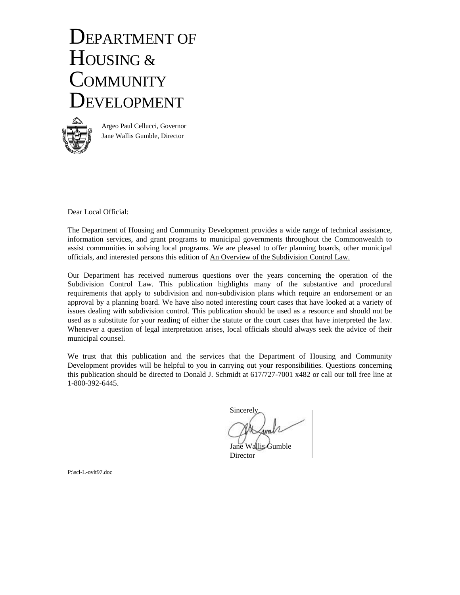# DEPARTMENT OF HOUSING & **COMMUNITY** DEVELOPMENT



Argeo Paul Cellucci, Governor Jane Wallis Gumble, Director

Dear Local Official:

The Department of Housing and Community Development provides a wide range of technical assistance, information services, and grant programs to municipal governments throughout the Commonwealth to assist communities in solving local programs. We are pleased to offer planning boards, other municipal officials, and interested persons this edition of An Overview of the Subdivision Control Law.

Our Department has received numerous questions over the years concerning the operation of the Subdivision Control Law. This publication highlights many of the substantive and procedural requirements that apply to subdivision and non-subdivision plans which require an endorsement or an approval by a planning board. We have also noted interesting court cases that have looked at a variety of issues dealing with subdivision control. This publication should be used as a resource and should not be used as a substitute for your reading of either the statute or the court cases that have interpreted the law. Whenever a question of legal interpretation arises, local officials should always seek the advice of their municipal counsel.

We trust that this publication and the services that the Department of Housing and Community Development provides will be helpful to you in carrying out your responsibilities. Questions concerning this publication should be directed to Donald J. Schmidt at 617/727-7001 x482 or call our toll free line at 1-800-392-6445.

**Sincerely** 

Jane Wallis Gumble **Director** 

P:\scl-L-ovlt97.doc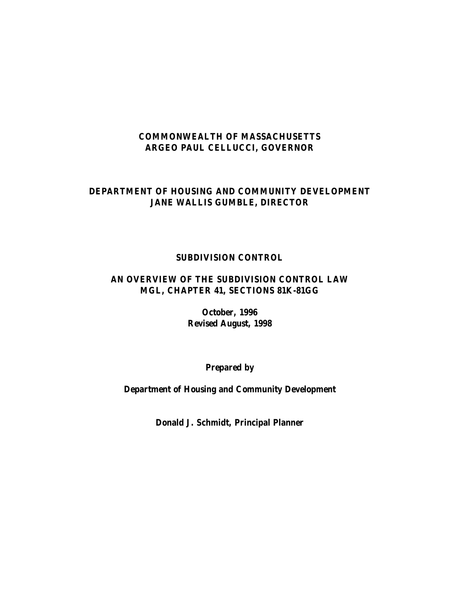## **COMMONWEALTH OF MASSACHUSETTS ARGEO PAUL CELLUCCI, GOVERNOR**

#### **DEPARTMENT OF HOUSING AND COMMUNITY DEVELOPMENT JANE WALLIS GUMBLE, DIRECTOR**

# **SUBDIVISION CONTROL**

## **AN OVERVIEW OF THE SUBDIVISION CONTROL LAW MGL, CHAPTER 41, SECTIONS 81K-81GG**

**October, 1996 Revised August, 1998**

**Prepared by**

**Department of Housing and Community Development**

**Donald J. Schmidt, Principal Planner**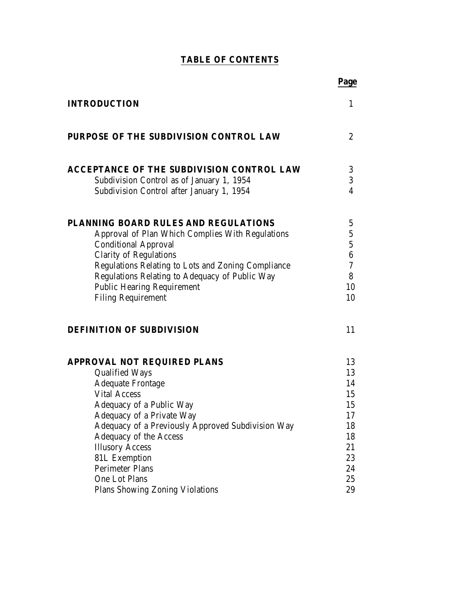# **TABLE OF CONTENTS**

|                                                                                                      | Page                 |
|------------------------------------------------------------------------------------------------------|----------------------|
| <b>INTRODUCTION</b>                                                                                  | 1                    |
| <b>PURPOSE OF THE SUBDIVISION CONTROL LAW</b>                                                        | $\overline{c}$       |
| <b>ACCEPTANCE OF THE SUBDIVISION CONTROL LAW</b>                                                     | 3                    |
| Subdivision Control as of January 1, 1954                                                            | 3                    |
| Subdivision Control after January 1, 1954                                                            | $\overline{4}$       |
| PLANNING BOARD RULES AND REGULATIONS                                                                 | 5                    |
| Approval of Plan Which Complies With Regulations                                                     | $5\phantom{.0}$      |
| <b>Conditional Approval</b>                                                                          | $\mathbf 5$          |
| <b>Clarity of Regulations</b>                                                                        | $6\phantom{.}6$<br>7 |
| Regulations Relating to Lots and Zoning Compliance<br>Regulations Relating to Adequacy of Public Way | 8                    |
| <b>Public Hearing Requirement</b>                                                                    | 10                   |
| <b>Filing Requirement</b>                                                                            | 10                   |
| <b>DEFINITION OF SUBDIVISION</b>                                                                     | 11                   |
| <b>APPROVAL NOT REQUIRED PLANS</b>                                                                   | 13                   |
| <b>Qualified Ways</b>                                                                                | 13                   |
| <b>Adequate Frontage</b>                                                                             | 14                   |
| <b>Vital Access</b>                                                                                  | 15                   |
| Adequacy of a Public Way                                                                             | 15<br>17             |
| Adequacy of a Private Way<br>Adequacy of a Previously Approved Subdivision Way                       | 18                   |
| <b>Adequacy of the Access</b>                                                                        | 18                   |
| <b>Illusory Access</b>                                                                               | 21                   |
| <b>81L Exemption</b>                                                                                 | 23                   |
| <b>Perimeter Plans</b>                                                                               | 24                   |
| One Lot Plans                                                                                        | 25                   |
| <b>Plans Showing Zoning Violations</b>                                                               | 29                   |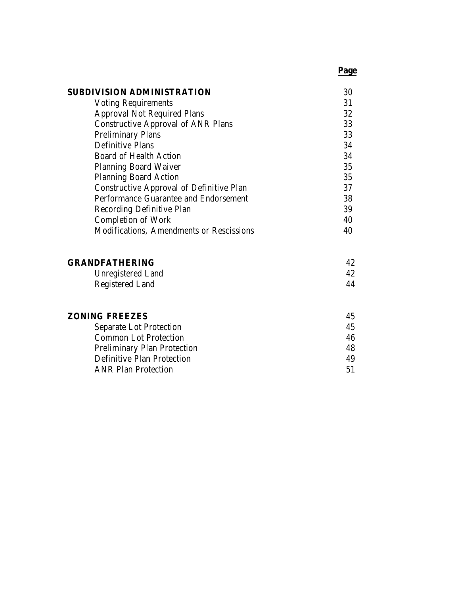# **Page**

| <b>SUBDIVISION ADMINISTRATION</b>               | 30 |
|-------------------------------------------------|----|
| <b>Voting Requirements</b>                      | 31 |
| <b>Approval Not Required Plans</b>              | 32 |
| <b>Constructive Approval of ANR Plans</b>       | 33 |
| <b>Preliminary Plans</b>                        | 33 |
| <b>Definitive Plans</b>                         | 34 |
| <b>Board of Health Action</b>                   | 34 |
| <b>Planning Board Waiver</b>                    | 35 |
| <b>Planning Board Action</b>                    | 35 |
| <b>Constructive Approval of Definitive Plan</b> | 37 |
| Performance Guarantee and Endorsement           | 38 |
| <b>Recording Definitive Plan</b>                | 39 |
| <b>Completion of Work</b>                       | 40 |
| Modifications, Amendments or Rescissions        | 40 |
|                                                 |    |

| <b>GRANDFATHERING</b>  |    |
|------------------------|----|
| Unregistered Land      |    |
| <b>Registered Land</b> | 44 |

| <b>ZONING FREEZES</b>              | 45 |
|------------------------------------|----|
| <b>Separate Lot Protection</b>     | 45 |
| <b>Common Lot Protection</b>       | 46 |
| <b>Preliminary Plan Protection</b> | 48 |
| <b>Definitive Plan Protection</b>  | 49 |
| <b>ANR Plan Protection</b>         | 51 |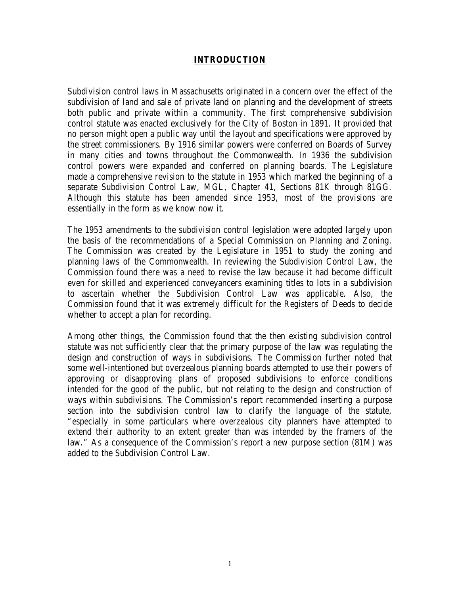#### **INTRODUCTION**

Subdivision control laws in Massachusetts originated in a concern over the effect of the subdivision of land and sale of private land on planning and the development of streets both public and private within a community. The first comprehensive subdivision control statute was enacted exclusively for the City of Boston in 1891. It provided that no person might open a public way until the layout and specifications were approved by the street commissioners. By 1916 similar powers were conferred on Boards of Survey in many cities and towns throughout the Commonwealth. In 1936 the subdivision control powers were expanded and conferred on planning boards. The Legislature made a comprehensive revision to the statute in 1953 which marked the beginning of a separate Subdivision Control Law, MGL, Chapter 41, Sections 81K through 81GG. Although this statute has been amended since 1953, most of the provisions are essentially in the form as we know now it.

The 1953 amendments to the subdivision control legislation were adopted largely upon the basis of the recommendations of a Special Commission on Planning and Zoning. The Commission was created by the Legislature in 1951 to study the zoning and planning laws of the Commonwealth. In reviewing the Subdivision Control Law, the Commission found there was a need to revise the law because it had become difficult even for skilled and experienced conveyancers examining titles to lots in a subdivision to ascertain whether the Subdivision Control Law was applicable. Also, the Commission found that it was extremely difficult for the Registers of Deeds to decide whether to accept a plan for recording.

Among other things, the Commission found that the then existing subdivision control statute was not sufficiently clear that the primary purpose of the law was regulating the design and construction of ways in subdivisions. The Commission further noted that some well-intentioned but overzealous planning boards attempted to use their powers of approving or disapproving plans of proposed subdivisions to enforce conditions intended for the good of the public, but not relating to the design and construction of ways within subdivisions. The Commission's report recommended inserting a purpose section into the subdivision control law to clarify the language of the statute, "especially in some particulars where overzealous city planners have attempted to extend their authority to an extent greater than was intended by the framers of the law." As a consequence of the Commission's report a new purpose section (81M) was added to the Subdivision Control Law.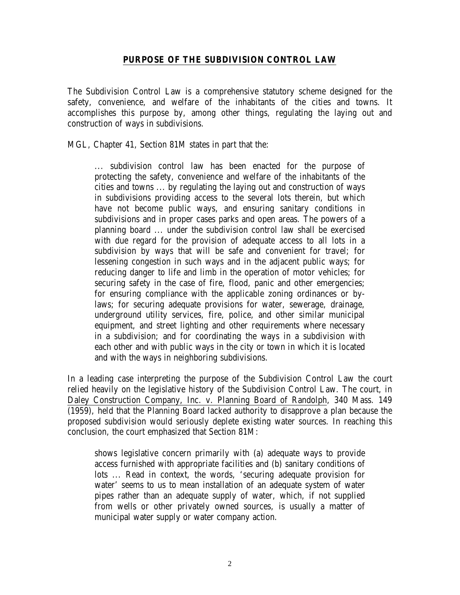#### **PURPOSE OF THE SUBDIVISION CONTROL LAW**

The Subdivision Control Law is a comprehensive statutory scheme designed for the safety, convenience, and welfare of the inhabitants of the cities and towns. It accomplishes this purpose by, among other things, regulating the laying out and construction of ways in subdivisions.

MGL, Chapter 41, Section 81M states in part that the:

... subdivision control law has been enacted for the purpose of protecting the safety, convenience and welfare of the inhabitants of the cities and towns ... by regulating the laying out and construction of ways in subdivisions providing access to the several lots therein, but which have not become public ways, and ensuring sanitary conditions in subdivisions and in proper cases parks and open areas. The powers of a planning board ... under the subdivision control law shall be exercised with due regard for the provision of adequate access to all lots in a subdivision by ways that will be safe and convenient for travel; for lessening congestion in such ways and in the adjacent public ways; for reducing danger to life and limb in the operation of motor vehicles; for securing safety in the case of fire, flood, panic and other emergencies; for ensuring compliance with the applicable zoning ordinances or bylaws; for securing adequate provisions for water, sewerage, drainage, underground utility services, fire, police, and other similar municipal equipment, and street lighting and other requirements where necessary in a subdivision; and for coordinating the ways in a subdivision with each other and with public ways in the city or town in which it is located and with the ways in neighboring subdivisions.

In a leading case interpreting the purpose of the Subdivision Control Law the court relied heavily on the legislative history of the Subdivision Control Law. The court, in Daley Construction Company, Inc. v. Planning Board of Randolph, 340 Mass. 149 (1959), held that the Planning Board lacked authority to disapprove a plan because the proposed subdivision would seriously deplete existing water sources. In reaching this conclusion, the court emphasized that Section 81M:

shows legislative concern primarily with (a) adequate ways to provide access furnished with appropriate facilities and (b) sanitary conditions of lots ... Read in context, the words, 'securing adequate provision for water' seems to us to mean installation of an adequate system of water pipes rather than an adequate supply of water, which, if not supplied from wells or other privately owned sources, is usually a matter of municipal water supply or water company action.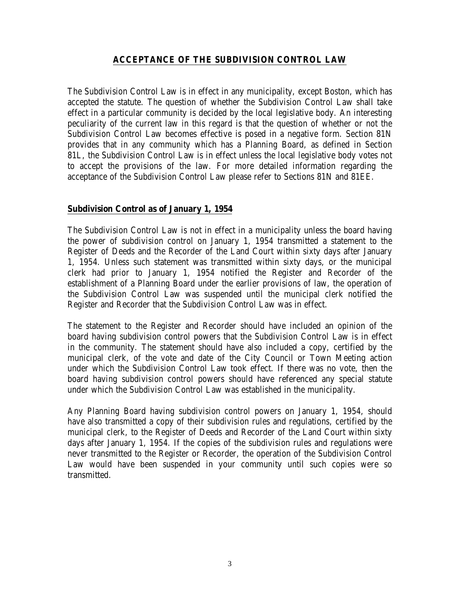## **ACCEPTANCE OF THE SUBDIVISION CONTROL LAW**

The Subdivision Control Law is in effect in any municipality, except Boston, which has accepted the statute. The question of whether the Subdivision Control Law shall take effect in a particular community is decided by the local legislative body. An interesting peculiarity of the current law in this regard is that the question of whether or not the Subdivision Control Law becomes effective is posed in a negative form. Section 81N provides that in any community which has a Planning Board, as defined in Section 81L, the Subdivision Control Law is in effect unless the local legislative body votes not to accept the provisions of the law. For more detailed information regarding the acceptance of the Subdivision Control Law please refer to Sections 81N and 81EE.

#### **Subdivision Control as of January 1, 1954**

The Subdivision Control Law is not in effect in a municipality unless the board having the power of subdivision control on January 1, 1954 transmitted a statement to the Register of Deeds and the Recorder of the Land Court within sixty days after January 1, 1954. Unless such statement was transmitted within sixty days, or the municipal clerk had prior to January 1, 1954 notified the Register and Recorder of the establishment of a Planning Board under the earlier provisions of law, the operation of the Subdivision Control Law was suspended until the municipal clerk notified the Register and Recorder that the Subdivision Control Law was in effect.

The statement to the Register and Recorder should have included an opinion of the board having subdivision control powers that the Subdivision Control Law is in effect in the community. The statement should have also included a copy, certified by the municipal clerk, of the vote and date of the City Council or Town Meeting action under which the Subdivision Control Law took effect. If there was no vote, then the board having subdivision control powers should have referenced any special statute under which the Subdivision Control Law was established in the municipality.

Any Planning Board having subdivision control powers on January 1, 1954, should have also transmitted a copy of their subdivision rules and regulations, certified by the municipal clerk, to the Register of Deeds and Recorder of the Land Court within sixty days after January 1, 1954. If the copies of the subdivision rules and regulations were never transmitted to the Register or Recorder, the operation of the Subdivision Control Law would have been suspended in your community until such copies were so transmitted.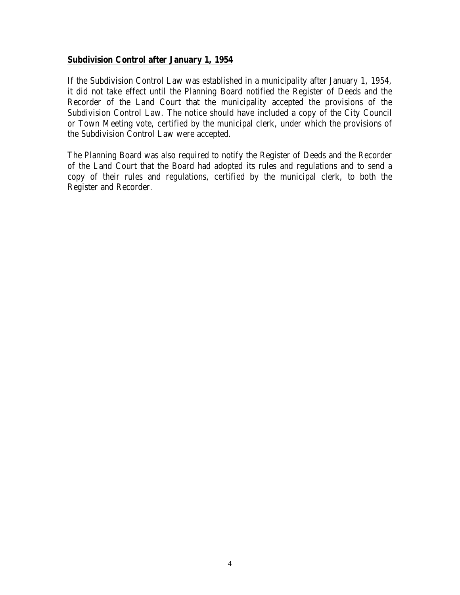#### **Subdivision Control after January 1, 1954**

If the Subdivision Control Law was established in a municipality after January 1, 1954, it did not take effect until the Planning Board notified the Register of Deeds and the Recorder of the Land Court that the municipality accepted the provisions of the Subdivision Control Law. The notice should have included a copy of the City Council or Town Meeting vote, certified by the municipal clerk, under which the provisions of the Subdivision Control Law were accepted.

The Planning Board was also required to notify the Register of Deeds and the Recorder of the Land Court that the Board had adopted its rules and regulations and to send a copy of their rules and regulations, certified by the municipal clerk, to both the Register and Recorder.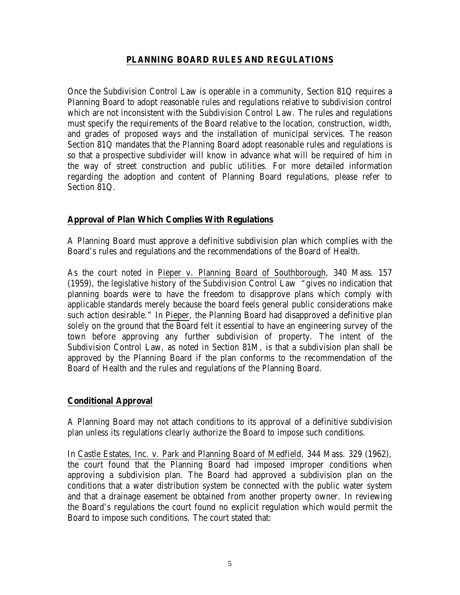## **PLANNING BOARD RULES AND REGULATIONS**

Once the Subdivision Control Law is operable in a community, Section 81Q requires a Planning Board to adopt reasonable rules and regulations relative to subdivision control which are not inconsistent with the Subdivision Control Law. The rules and regulations must specify the requirements of the Board relative to the location, construction, width, and grades of proposed ways and the installation of municipal services. The reason Section 81Q mandates that the Planning Board adopt reasonable rules and regulations is so that a prospective subdivider will know in advance what will be required of him in the way of street construction and public utilities. For more detailed information regarding the adoption and content of Planning Board regulations, please refer to Section 81Q.

## **Approval of Plan Which Complies With Regulations**

A Planning Board must approve a definitive subdivision plan which complies with the Board's rules and regulations and the recommendations of the Board of Health.

As the court noted in Pieper v. Planning Board of Southborough, 340 Mass. 157 (1959), the legislative history of the Subdivision Control Law "gives no indication that planning boards were to have the freedom to disapprove plans which comply with applicable standards merely because the board feels general public considerations make such action desirable." In Pieper, the Planning Board had disapproved a definitive plan solely on the ground that the Board felt it essential to have an engineering survey of the town before approving any further subdivision of property. The intent of the Subdivision Control Law, as noted in Section 81M, is that a subdivision plan shall be approved by the Planning Board if the plan conforms to the recommendation of the Board of Health and the rules and regulations of the Planning Board.

# **Conditional Approval**

A Planning Board may not attach conditions to its approval of a definitive subdivision plan unless its regulations clearly authorize the Board to impose such conditions.

In Castle Estates, Inc. v. Park and Planning Board of Medfield, 344 Mass. 329 (1962), the court found that the Planning Board had imposed improper conditions when approving a subdivision plan. The Board had approved a subdivision plan on the conditions that a water distribution system be connected with the public water system and that a drainage easement be obtained from another property owner. In reviewing the Board's regulations the court found no explicit regulation which would permit the Board to impose such conditions. The court stated that: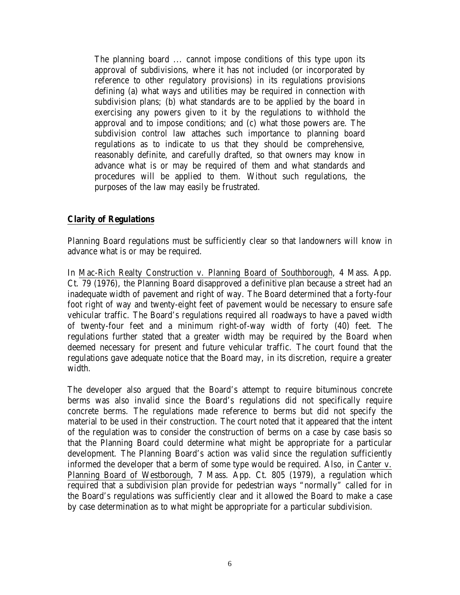The planning board ... cannot impose conditions of this type upon its approval of subdivisions, where it has not included (or incorporated by reference to other regulatory provisions) in its regulations provisions defining (a) what ways and utilities may be required in connection with subdivision plans; (b) what standards are to be applied by the board in exercising any powers given to it by the regulations to withhold the approval and to impose conditions; and (c) what those powers are. The subdivision control law attaches such importance to planning board regulations as to indicate to us that they should be comprehensive, reasonably definite, and carefully drafted, so that owners may know in advance what is or may be required of them and what standards and procedures will be applied to them. Without such regulations, the purposes of the law may easily be frustrated.

## **Clarity of Regulations**

Planning Board regulations must be sufficiently clear so that landowners will know in advance what is or may be required.

In Mac-Rich Realty Construction v. Planning Board of Southborough, 4 Mass. App. Ct. 79 (1976), the Planning Board disapproved a definitive plan because a street had an inadequate width of pavement and right of way. The Board determined that a forty-four foot right of way and twenty-eight feet of pavement would be necessary to ensure safe vehicular traffic. The Board's regulations required all roadways to have a paved width of twenty-four feet and a minimum right-of-way width of forty (40) feet. The regulations further stated that a greater width may be required by the Board when deemed necessary for present and future vehicular traffic. The court found that the regulations gave adequate notice that the Board may, in its discretion, require a greater width.

The developer also argued that the Board's attempt to require bituminous concrete berms was also invalid since the Board's regulations did not specifically require concrete berms. The regulations made reference to berms but did not specify the material to be used in their construction. The court noted that it appeared that the intent of the regulation was to consider the construction of berms on a case by case basis so that the Planning Board could determine what might be appropriate for a particular development. The Planning Board's action was valid since the regulation sufficiently informed the developer that a berm of some type would be required. Also, in Canter v. Planning Board of Westborough, 7 Mass. App. Ct. 805 (1979), a regulation which required that a subdivision plan provide for pedestrian ways "normally" called for in the Board's regulations was sufficiently clear and it allowed the Board to make a case by case determination as to what might be appropriate for a particular subdivision.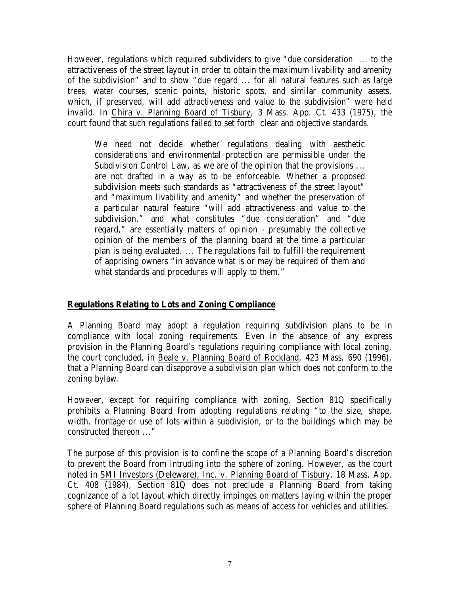However, regulations which required subdividers to give "due consideration ... to the attractiveness of the street layout in order to obtain the maximum livability and amenity of the subdivision" and to show "due regard ... for all natural features such as large trees, water courses, scenic points, historic spots, and similar community assets, which, if preserved, will add attractiveness and value to the subdivision" were held invalid. In Chira v. Planning Board of Tisbury, 3 Mass. App. Ct. 433 (1975), the court found that such regulations failed to set forth clear and objective standards.

We need not decide whether regulations dealing with aesthetic considerations and environmental protection are permissible under the Subdivision Control Law, as we are of the opinion that the provisions ... are not drafted in a way as to be enforceable. Whether a proposed subdivision meets such standards as "attractiveness of the street layout" and "maximum livability and amenity" and whether the preservation of a particular natural feature "will add attractiveness and value to the subdivision," and what constitutes "due consideration" and "due regard," are essentially matters of opinion - presumably the collective opinion of the members of the planning board at the time a particular plan is being evaluated. ... The regulations fail to fulfill the requirement of apprising owners "in advance what is or may be required of them and what standards and procedures will apply to them."

#### **Regulations Relating to Lots and Zoning Compliance**

A Planning Board may adopt a regulation requiring subdivision plans to be in compliance with local zoning requirements. Even in the absence of any express provision in the Planning Board's regulations requiring compliance with local zoning, the court concluded, in Beale v. Planning Board of Rockland, 423 Mass. 690 (1996), that a Planning Board can disapprove a subdivision plan which does not conform to the zoning bylaw.

However, except for requiring compliance with zoning, Section 81Q specifically prohibits a Planning Board from adopting regulations relating "to the size, shape, width, frontage or use of lots within a subdivision, or to the buildings which may be constructed thereon ..."

The purpose of this provision is to confine the scope of a Planning Board's discretion to prevent the Board from intruding into the sphere of zoning. However, as the court noted in SMI Investors (Deleware), Inc. v. Planning Board of Tisbury, 18 Mass. App. Ct. 408 (1984), Section 81Q does not preclude a Planning Board from taking cognizance of a lot layout which directly impinges on matters laying within the proper sphere of Planning Board regulations such as means of access for vehicles and utilities.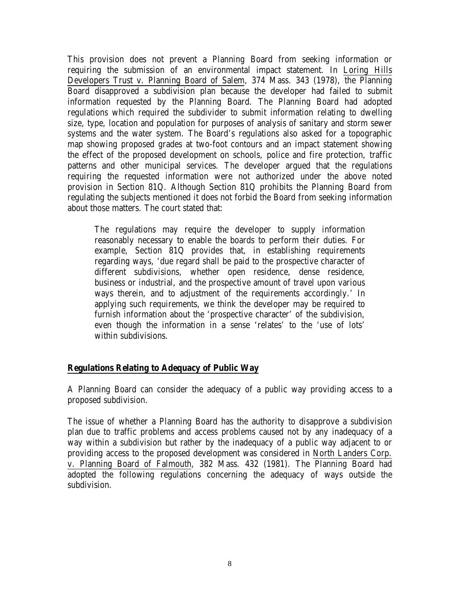This provision does not prevent a Planning Board from seeking information or requiring the submission of an environmental impact statement. In Loring Hills Developers Trust v. Planning Board of Salem, 374 Mass. 343 (1978), the Planning Board disapproved a subdivision plan because the developer had failed to submit information requested by the Planning Board. The Planning Board had adopted regulations which required the subdivider to submit information relating to dwelling size, type, location and population for purposes of analysis of sanitary and storm sewer systems and the water system. The Board's regulations also asked for a topographic map showing proposed grades at two-foot contours and an impact statement showing the effect of the proposed development on schools, police and fire protection, traffic patterns and other municipal services. The developer argued that the regulations requiring the requested information were not authorized under the above noted provision in Section 81Q. Although Section 81Q prohibits the Planning Board from regulating the subjects mentioned it does not forbid the Board from seeking information about those matters. The court stated that:

The regulations may require the developer to supply information reasonably necessary to enable the boards to perform their duties. For example, Section 81Q provides that, in establishing requirements regarding ways, 'due regard shall be paid to the prospective character of different subdivisions, whether open residence, dense residence, business or industrial, and the prospective amount of travel upon various ways therein, and to adjustment of the requirements accordingly.' In applying such requirements, we think the developer may be required to furnish information about the 'prospective character' of the subdivision, even though the information in a sense 'relates' to the 'use of lots' within subdivisions.

#### **Regulations Relating to Adequacy of Public Way**

A Planning Board can consider the adequacy of a public way providing access to a proposed subdivision.

The issue of whether a Planning Board has the authority to disapprove a subdivision plan due to traffic problems and access problems caused not by any inadequacy of a way within a subdivision but rather by the inadequacy of a public way adjacent to or providing access to the proposed development was considered in North Landers Corp. v. Planning Board of Falmouth, 382 Mass. 432 (1981). The Planning Board had adopted the following regulations concerning the adequacy of ways outside the subdivision.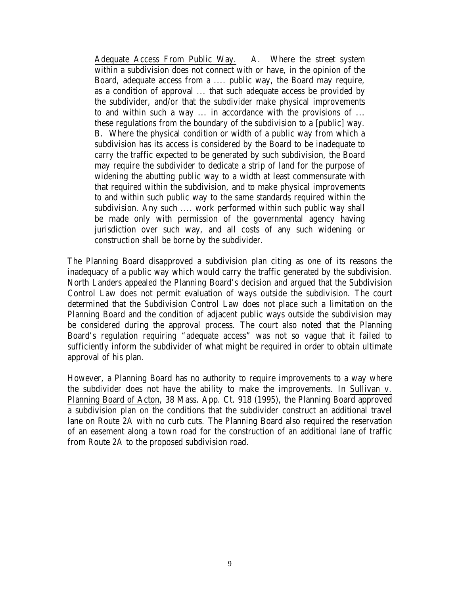Adequate Access From Public Way. A. Where the street system within a subdivision does not connect with or have, in the opinion of the Board, adequate access from a .... public way, the Board may require, as a condition of approval ... that such adequate access be provided by the subdivider, and/or that the subdivider make physical improvements to and within such a way ... in accordance with the provisions of ... these regulations from the boundary of the subdivision to a [public] way. B. Where the physical condition or width of a public way from which a subdivision has its access is considered by the Board to be inadequate to carry the traffic expected to be generated by such subdivision, the Board may require the subdivider to dedicate a strip of land for the purpose of widening the abutting public way to a width at least commensurate with that required within the subdivision, and to make physical improvements to and within such public way to the same standards required within the subdivision. Any such .... work performed within such public way shall be made only with permission of the governmental agency having jurisdiction over such way, and all costs of any such widening or construction shall be borne by the subdivider.

The Planning Board disapproved a subdivision plan citing as one of its reasons the inadequacy of a public way which would carry the traffic generated by the subdivision. North Landers appealed the Planning Board's decision and argued that the Subdivision Control Law does not permit evaluation of ways outside the subdivision. The court determined that the Subdivision Control Law does not place such a limitation on the Planning Board and the condition of adjacent public ways outside the subdivision may be considered during the approval process. The court also noted that the Planning Board's regulation requiring "adequate access" was not so vague that it failed to sufficiently inform the subdivider of what might be required in order to obtain ultimate approval of his plan.

However, a Planning Board has no authority to require improvements to a way where the subdivider does not have the ability to make the improvements. In Sullivan v. Planning Board of Acton, 38 Mass. App. Ct. 918 (1995), the Planning Board approved a subdivision plan on the conditions that the subdivider construct an additional travel lane on Route 2A with no curb cuts. The Planning Board also required the reservation of an easement along a town road for the construction of an additional lane of traffic from Route 2A to the proposed subdivision road.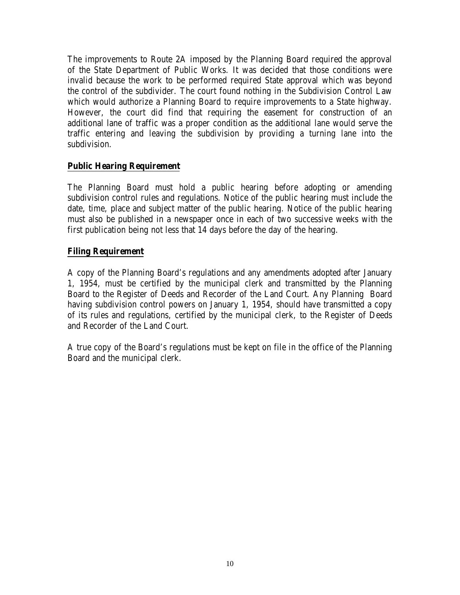The improvements to Route 2A imposed by the Planning Board required the approval of the State Department of Public Works. It was decided that those conditions were invalid because the work to be performed required State approval which was beyond the control of the subdivider. The court found nothing in the Subdivision Control Law which would authorize a Planning Board to require improvements to a State highway. However, the court did find that requiring the easement for construction of an additional lane of traffic was a proper condition as the additional lane would serve the traffic entering and leaving the subdivision by providing a turning lane into the subdivision.

## **Public Hearing Requirement**

The Planning Board must hold a public hearing before adopting or amending subdivision control rules and regulations. Notice of the public hearing must include the date, time, place and subject matter of the public hearing. Notice of the public hearing must also be published in a newspaper once in each of two successive weeks with the first publication being not less that 14 days before the day of the hearing.

## **Filing Requirement**

A copy of the Planning Board's regulations and any amendments adopted after January 1, 1954, must be certified by the municipal clerk and transmitted by the Planning Board to the Register of Deeds and Recorder of the Land Court. Any Planning Board having subdivision control powers on January 1, 1954, should have transmitted a copy of its rules and regulations, certified by the municipal clerk, to the Register of Deeds and Recorder of the Land Court.

A true copy of the Board's regulations must be kept on file in the office of the Planning Board and the municipal clerk.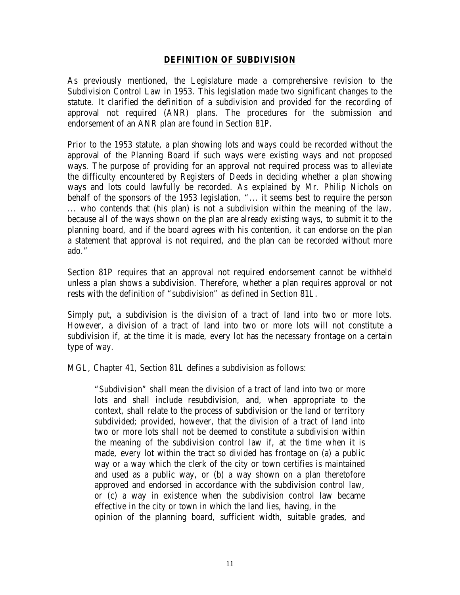#### **DEFINITION OF SUBDIVISION**

As previously mentioned, the Legislature made a comprehensive revision to the Subdivision Control Law in 1953. This legislation made two significant changes to the statute. It clarified the definition of a subdivision and provided for the recording of approval not required (ANR) plans. The procedures for the submission and endorsement of an ANR plan are found in Section 81P.

Prior to the 1953 statute, a plan showing lots and ways could be recorded without the approval of the Planning Board if such ways were existing ways and not proposed ways. The purpose of providing for an approval not required process was to alleviate the difficulty encountered by Registers of Deeds in deciding whether a plan showing ways and lots could lawfully be recorded. As explained by Mr. Philip Nichols on behalf of the sponsors of the 1953 legislation, "... it seems best to require the person ... who contends that (his plan) is not a subdivision within the meaning of the law, because all of the ways shown on the plan are already existing ways, to submit it to the planning board, and if the board agrees with his contention, it can endorse on the plan a statement that approval is not required, and the plan can be recorded without more ado."

Section 81P requires that an approval not required endorsement cannot be withheld unless a plan shows a subdivision. Therefore, whether a plan requires approval or not rests with the definition of "subdivision" as defined in Section 81L.

Simply put, a subdivision is the division of a tract of land into two or more lots. However, a division of a tract of land into two or more lots will not constitute a subdivision if, at the time it is made, every lot has the necessary frontage on a certain type of way.

MGL, Chapter 41, Section 81L defines a subdivision as follows:

"Subdivision" shall mean the division of a tract of land into two or more lots and shall include resubdivision, and, when appropriate to the context, shall relate to the process of subdivision or the land or territory subdivided; provided, however, that the division of a tract of land into two or more lots shall not be deemed to constitute a subdivision within the meaning of the subdivision control law if, at the time when it is made, every lot within the tract so divided has frontage on (a) a public way or a way which the clerk of the city or town certifies is maintained and used as a public way, or (b) a way shown on a plan theretofore approved and endorsed in accordance with the subdivision control law, or (c) a way in existence when the subdivision control law became effective in the city or town in which the land lies, having, in the opinion of the planning board, sufficient width, suitable grades, and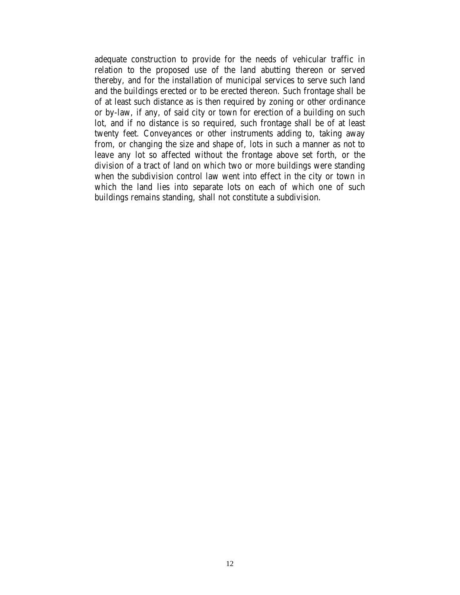adequate construction to provide for the needs of vehicular traffic in relation to the proposed use of the land abutting thereon or served thereby, and for the installation of municipal services to serve such land and the buildings erected or to be erected thereon. Such frontage shall be of at least such distance as is then required by zoning or other ordinance or by-law, if any, of said city or town for erection of a building on such lot, and if no distance is so required, such frontage shall be of at least twenty feet. Conveyances or other instruments adding to, taking away from, or changing the size and shape of, lots in such a manner as not to leave any lot so affected without the frontage above set forth, or the division of a tract of land on which two or more buildings were standing when the subdivision control law went into effect in the city or town in which the land lies into separate lots on each of which one of such buildings remains standing, shall not constitute a subdivision.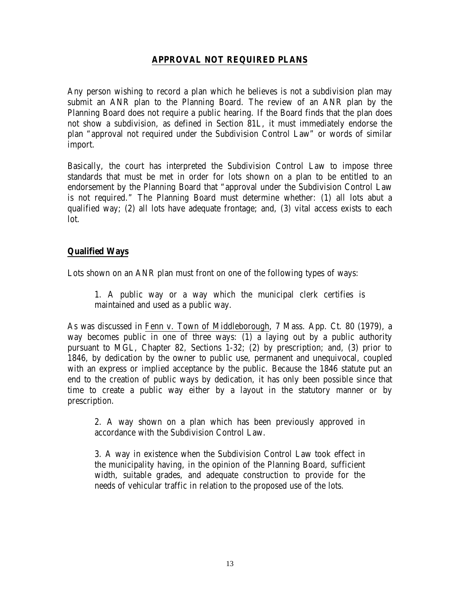## **APPROVAL NOT REQUIRED PLANS**

Any person wishing to record a plan which he believes is not a subdivision plan may submit an ANR plan to the Planning Board. The review of an ANR plan by the Planning Board does not require a public hearing. If the Board finds that the plan does not show a subdivision, as defined in Section 81L, it must immediately endorse the plan "approval not required under the Subdivision Control Law" or words of similar import.

Basically, the court has interpreted the Subdivision Control Law to impose three standards that must be met in order for lots shown on a plan to be entitled to an endorsement by the Planning Board that "approval under the Subdivision Control Law is not required." The Planning Board must determine whether: (1) all lots abut a qualified way; (2) all lots have adequate frontage; and, (3) vital access exists to each lot.

## **Qualified Ways**

Lots shown on an ANR plan must front on one of the following types of ways:

1. A public way or a way which the municipal clerk certifies is maintained and used as a public way.

As was discussed in Fenn v. Town of Middleborough, 7 Mass. App. Ct. 80 (1979), a way becomes public in one of three ways: (1) a laying out by a public authority pursuant to MGL, Chapter 82, Sections 1-32; (2) by prescription; and, (3) prior to 1846, by dedication by the owner to public use, permanent and unequivocal, coupled with an express or implied acceptance by the public. Because the 1846 statute put an end to the creation of public ways by dedication, it has only been possible since that time to create a public way either by a layout in the statutory manner or by prescription.

2. A way shown on a plan which has been previously approved in accordance with the Subdivision Control Law.

3. A way in existence when the Subdivision Control Law took effect in the municipality having, in the opinion of the Planning Board, sufficient width, suitable grades, and adequate construction to provide for the needs of vehicular traffic in relation to the proposed use of the lots.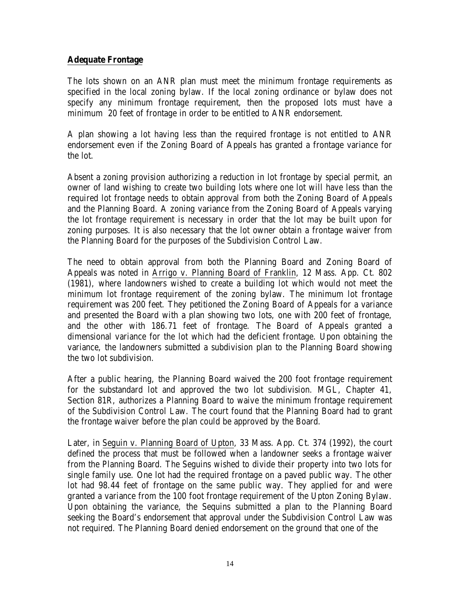## **Adequate Frontage**

The lots shown on an ANR plan must meet the minimum frontage requirements as specified in the local zoning bylaw. If the local zoning ordinance or bylaw does not specify any minimum frontage requirement, then the proposed lots must have a minimum 20 feet of frontage in order to be entitled to ANR endorsement.

A plan showing a lot having less than the required frontage is not entitled to ANR endorsement even if the Zoning Board of Appeals has granted a frontage variance for the lot.

Absent a zoning provision authorizing a reduction in lot frontage by special permit, an owner of land wishing to create two building lots where one lot will have less than the required lot frontage needs to obtain approval from both the Zoning Board of Appeals and the Planning Board. A zoning variance from the Zoning Board of Appeals varying the lot frontage requirement is necessary in order that the lot may be built upon for zoning purposes. It is also necessary that the lot owner obtain a frontage waiver from the Planning Board for the purposes of the Subdivision Control Law.

The need to obtain approval from both the Planning Board and Zoning Board of Appeals was noted in Arrigo v. Planning Board of Franklin, 12 Mass. App. Ct. 802 (1981), where landowners wished to create a building lot which would not meet the minimum lot frontage requirement of the zoning bylaw. The minimum lot frontage requirement was 200 feet. They petitioned the Zoning Board of Appeals for a variance and presented the Board with a plan showing two lots, one with 200 feet of frontage, and the other with 186.71 feet of frontage. The Board of Appeals granted a dimensional variance for the lot which had the deficient frontage. Upon obtaining the variance, the landowners submitted a subdivision plan to the Planning Board showing the two lot subdivision.

After a public hearing, the Planning Board waived the 200 foot frontage requirement for the substandard lot and approved the two lot subdivision. MGL, Chapter 41, Section 81R, authorizes a Planning Board to waive the minimum frontage requirement of the Subdivision Control Law. The court found that the Planning Board had to grant the frontage waiver before the plan could be approved by the Board.

Later, in Seguin v. Planning Board of Upton, 33 Mass. App. Ct. 374 (1992), the court defined the process that must be followed when a landowner seeks a frontage waiver from the Planning Board. The Seguins wished to divide their property into two lots for single family use. One lot had the required frontage on a paved public way. The other lot had 98.44 feet of frontage on the same public way. They applied for and were granted a variance from the 100 foot frontage requirement of the Upton Zoning Bylaw. Upon obtaining the variance, the Sequins submitted a plan to the Planning Board seeking the Board's endorsement that approval under the Subdivision Control Law was not required. The Planning Board denied endorsement on the ground that one of the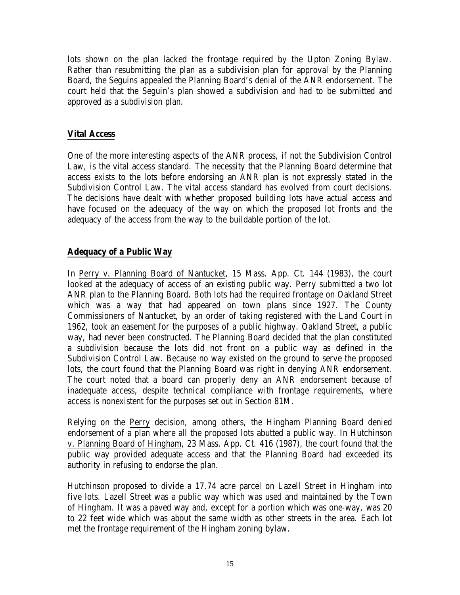lots shown on the plan lacked the frontage required by the Upton Zoning Bylaw. Rather than resubmitting the plan as a subdivision plan for approval by the Planning Board, the Seguins appealed the Planning Board's denial of the ANR endorsement. The court held that the Seguin's plan showed a subdivision and had to be submitted and approved as a subdivision plan.

## **Vital Access**

One of the more interesting aspects of the ANR process, if not the Subdivision Control Law, is the vital access standard. The necessity that the Planning Board determine that access exists to the lots before endorsing an ANR plan is not expressly stated in the Subdivision Control Law. The vital access standard has evolved from court decisions. The decisions have dealt with whether proposed building lots have actual access and have focused on the adequacy of the way on which the proposed lot fronts and the adequacy of the access from the way to the buildable portion of the lot.

# **Adequacy of a Public Way**

In Perry v. Planning Board of Nantucket, 15 Mass. App. Ct. 144 (1983), the court looked at the adequacy of access of an existing public way. Perry submitted a two lot ANR plan to the Planning Board. Both lots had the required frontage on Oakland Street which was a way that had appeared on town plans since 1927. The County Commissioners of Nantucket, by an order of taking registered with the Land Court in 1962, took an easement for the purposes of a public highway. Oakland Street, a public way, had never been constructed. The Planning Board decided that the plan constituted a subdivision because the lots did not front on a public way as defined in the Subdivision Control Law. Because no way existed on the ground to serve the proposed lots, the court found that the Planning Board was right in denying ANR endorsement. The court noted that a board can properly deny an ANR endorsement because of inadequate access, despite technical compliance with frontage requirements, where access is nonexistent for the purposes set out in Section 81M.

Relying on the Perry decision, among others, the Hingham Planning Board denied endorsement of a plan where all the proposed lots abutted a public way. In Hutchinson v. Planning Board of Hingham, 23 Mass. App. Ct. 416 (1987), the court found that the public way provided adequate access and that the Planning Board had exceeded its authority in refusing to endorse the plan.

Hutchinson proposed to divide a 17.74 acre parcel on Lazell Street in Hingham into five lots. Lazell Street was a public way which was used and maintained by the Town of Hingham. It was a paved way and, except for a portion which was one-way, was 20 to 22 feet wide which was about the same width as other streets in the area. Each lot met the frontage requirement of the Hingham zoning bylaw.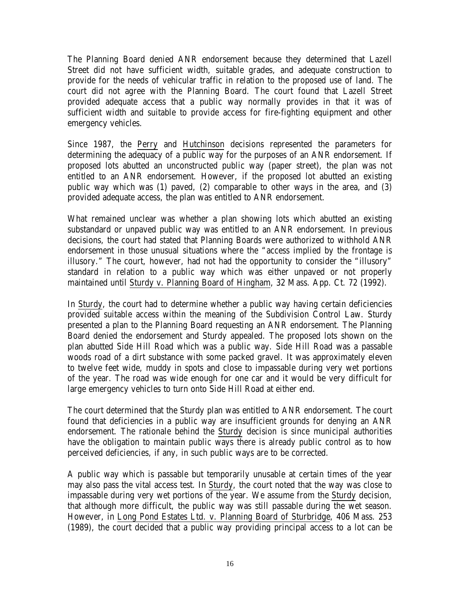The Planning Board denied ANR endorsement because they determined that Lazell Street did not have sufficient width, suitable grades, and adequate construction to provide for the needs of vehicular traffic in relation to the proposed use of land. The court did not agree with the Planning Board. The court found that Lazell Street provided adequate access that a public way normally provides in that it was of sufficient width and suitable to provide access for fire-fighting equipment and other emergency vehicles.

Since 1987, the Perry and Hutchinson decisions represented the parameters for determining the adequacy of a public way for the purposes of an ANR endorsement. If proposed lots abutted an unconstructed public way (paper street), the plan was not entitled to an ANR endorsement. However, if the proposed lot abutted an existing public way which was (1) paved, (2) comparable to other ways in the area, and (3) provided adequate access, the plan was entitled to ANR endorsement.

What remained unclear was whether a plan showing lots which abutted an existing substandard or unpaved public way was entitled to an ANR endorsement. In previous decisions, the court had stated that Planning Boards were authorized to withhold ANR endorsement in those unusual situations where the "access implied by the frontage is illusory." The court, however, had not had the opportunity to consider the "illusory" standard in relation to a public way which was either unpaved or not properly maintained until Sturdy v. Planning Board of Hingham, 32 Mass. App. Ct. 72 (1992).

In Sturdy, the court had to determine whether a public way having certain deficiencies provided suitable access within the meaning of the Subdivision Control Law. Sturdy presented a plan to the Planning Board requesting an ANR endorsement. The Planning Board denied the endorsement and Sturdy appealed. The proposed lots shown on the plan abutted Side Hill Road which was a public way. Side Hill Road was a passable woods road of a dirt substance with some packed gravel. It was approximately eleven to twelve feet wide, muddy in spots and close to impassable during very wet portions of the year. The road was wide enough for one car and it would be very difficult for large emergency vehicles to turn onto Side Hill Road at either end.

The court determined that the Sturdy plan was entitled to ANR endorsement. The court found that deficiencies in a public way are insufficient grounds for denying an ANR endorsement. The rationale behind the Sturdy decision is since municipal authorities have the obligation to maintain public ways there is already public control as to how perceived deficiencies, if any, in such public ways are to be corrected.

A public way which is passable but temporarily unusable at certain times of the year may also pass the vital access test. In Sturdy, the court noted that the way was close to impassable during very wet portions of the year. We assume from the Sturdy decision, that although more difficult, the public way was still passable during the wet season. However, in Long Pond Estates Ltd. v. Planning Board of Sturbridge, 406 Mass. 253 (1989), the court decided that a public way providing principal access to a lot can be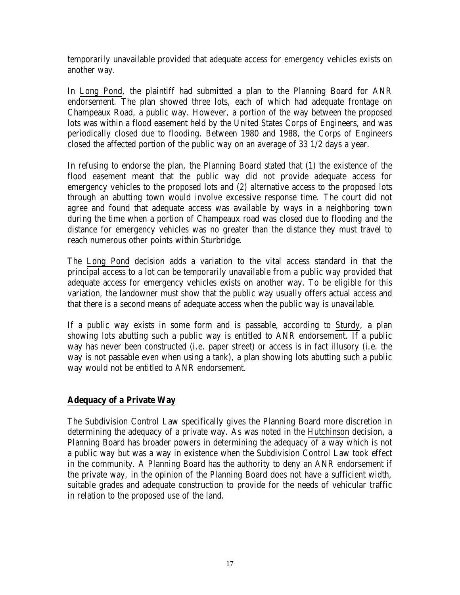temporarily unavailable provided that adequate access for emergency vehicles exists on another way.

In Long Pond, the plaintiff had submitted a plan to the Planning Board for ANR endorsement. The plan showed three lots, each of which had adequate frontage on Champeaux Road, a public way. However, a portion of the way between the proposed lots was within a flood easement held by the United States Corps of Engineers, and was periodically closed due to flooding. Between 1980 and 1988, the Corps of Engineers closed the affected portion of the public way on an average of 33 1/2 days a year.

In refusing to endorse the plan, the Planning Board stated that (1) the existence of the flood easement meant that the public way did not provide adequate access for emergency vehicles to the proposed lots and (2) alternative access to the proposed lots through an abutting town would involve excessive response time. The court did not agree and found that adequate access was available by ways in a neighboring town during the time when a portion of Champeaux road was closed due to flooding and the distance for emergency vehicles was no greater than the distance they must travel to reach numerous other points within Sturbridge.

The Long Pond decision adds a variation to the vital access standard in that the principal access to a lot can be temporarily unavailable from a public way provided that adequate access for emergency vehicles exists on another way. To be eligible for this variation, the landowner must show that the public way usually offers actual access and that there is a second means of adequate access when the public way is unavailable.

If a public way exists in some form and is passable, according to Sturdy, a plan showing lots abutting such a public way is entitled to ANR endorsement. If a public way has never been constructed (i.e. paper street) or access is in fact illusory (i.e. the way is not passable even when using a tank), a plan showing lots abutting such a public way would not be entitled to ANR endorsement.

# **Adequacy of a Private Way**

The Subdivision Control Law specifically gives the Planning Board more discretion in determining the adequacy of a private way. As was noted in the Hutchinson decision, a Planning Board has broader powers in determining the adequacy of a way which is not a public way but was a way in existence when the Subdivision Control Law took effect in the community. A Planning Board has the authority to deny an ANR endorsement if the private way, in the opinion of the Planning Board does not have a sufficient width, suitable grades and adequate construction to provide for the needs of vehicular traffic in relation to the proposed use of the land.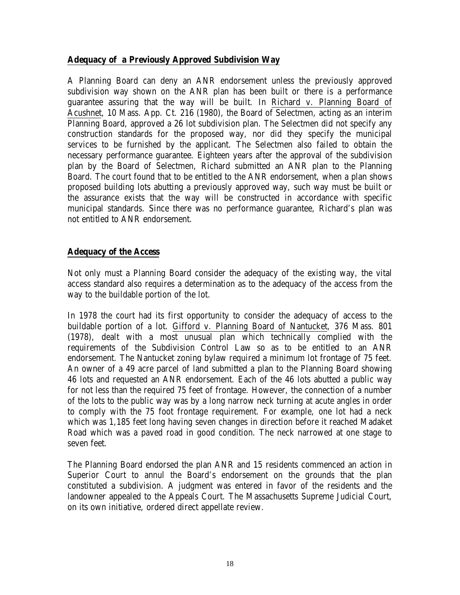#### **Adequacy of a Previously Approved Subdivision Way**

A Planning Board can deny an ANR endorsement unless the previously approved subdivision way shown on the ANR plan has been built or there is a performance guarantee assuring that the way will be built. In Richard v. Planning Board of Acushnet, 10 Mass. App. Ct. 216 (1980), the Board of Selectmen, acting as an interim Planning Board, approved a 26 lot subdivision plan. The Selectmen did not specify any construction standards for the proposed way, nor did they specify the municipal services to be furnished by the applicant. The Selectmen also failed to obtain the necessary performance guarantee. Eighteen years after the approval of the subdivision plan by the Board of Selectmen, Richard submitted an ANR plan to the Planning Board. The court found that to be entitled to the ANR endorsement, when a plan shows proposed building lots abutting a previously approved way, such way must be built or the assurance exists that the way will be constructed in accordance with specific municipal standards. Since there was no performance guarantee, Richard's plan was not entitled to ANR endorsement.

## **Adequacy of the Access**

Not only must a Planning Board consider the adequacy of the existing way, the vital access standard also requires a determination as to the adequacy of the access from the way to the buildable portion of the lot.

In 1978 the court had its first opportunity to consider the adequacy of access to the buildable portion of a lot. Gifford v. Planning Board of Nantucket, 376 Mass. 801 (1978), dealt with a most unusual plan which technically complied with the requirements of the Subdivision Control Law so as to be entitled to an ANR endorsement. The Nantucket zoning bylaw required a minimum lot frontage of 75 feet. An owner of a 49 acre parcel of land submitted a plan to the Planning Board showing 46 lots and requested an ANR endorsement. Each of the 46 lots abutted a public way for not less than the required 75 feet of frontage. However, the connection of a number of the lots to the public way was by a long narrow neck turning at acute angles in order to comply with the 75 foot frontage requirement. For example, one lot had a neck which was 1,185 feet long having seven changes in direction before it reached Madaket Road which was a paved road in good condition. The neck narrowed at one stage to seven feet.

The Planning Board endorsed the plan ANR and 15 residents commenced an action in Superior Court to annul the Board's endorsement on the grounds that the plan constituted a subdivision. A judgment was entered in favor of the residents and the landowner appealed to the Appeals Court. The Massachusetts Supreme Judicial Court, on its own initiative, ordered direct appellate review.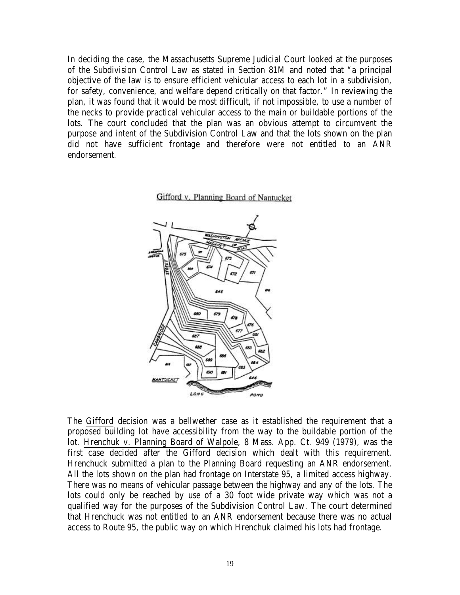In deciding the case, the Massachusetts Supreme Judicial Court looked at the purposes of the Subdivision Control Law as stated in Section 81M and noted that "a principal objective of the law is to ensure efficient vehicular access to each lot in a subdivision, for safety, convenience, and welfare depend critically on that factor." In reviewing the plan, it was found that it would be most difficult, if not impossible, to use a number of the necks to provide practical vehicular access to the main or buildable portions of the lots. The court concluded that the plan was an obvious attempt to circumvent the purpose and intent of the Subdivision Control Law and that the lots shown on the plan did not have sufficient frontage and therefore were not entitled to an ANR endorsement.





The Gifford decision was a bellwether case as it established the requirement that a proposed building lot have accessibility from the way to the buildable portion of the lot. Hrenchuk v. Planning Board of Walpole, 8 Mass. App. Ct. 949 (1979), was the first case decided after the Gifford decision which dealt with this requirement. Hrenchuck submitted a plan to the Planning Board requesting an ANR endorsement. All the lots shown on the plan had frontage on Interstate 95, a limited access highway. There was no means of vehicular passage between the highway and any of the lots. The lots could only be reached by use of a 30 foot wide private way which was not a qualified way for the purposes of the Subdivision Control Law. The court determined that Hrenchuck was not entitled to an ANR endorsement because there was no actual access to Route 95, the public way on which Hrenchuk claimed his lots had frontage.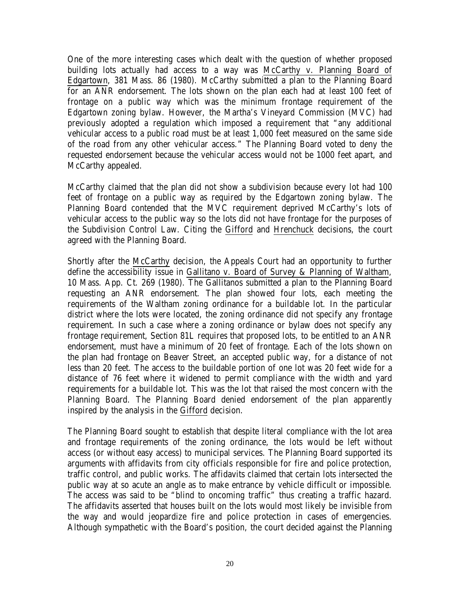One of the more interesting cases which dealt with the question of whether proposed building lots actually had access to a way was McCarthy v. Planning Board of Edgartown, 381 Mass. 86 (1980). McCarthy submitted a plan to the Planning Board for an ANR endorsement. The lots shown on the plan each had at least 100 feet of frontage on a public way which was the minimum frontage requirement of the Edgartown zoning bylaw. However, the Martha's Vineyard Commission (MVC) had previously adopted a regulation which imposed a requirement that "any additional vehicular access to a public road must be at least 1,000 feet measured on the same side of the road from any other vehicular access." The Planning Board voted to deny the requested endorsement because the vehicular access would not be 1000 feet apart, and McCarthy appealed.

McCarthy claimed that the plan did not show a subdivision because every lot had 100 feet of frontage on a public way as required by the Edgartown zoning bylaw. The Planning Board contended that the MVC requirement deprived McCarthy's lots of vehicular access to the public way so the lots did not have frontage for the purposes of the Subdivision Control Law. Citing the Gifford and Hrenchuck decisions, the court agreed with the Planning Board.

Shortly after the McCarthy decision, the Appeals Court had an opportunity to further define the accessibility issue in Gallitano v. Board of Survey & Planning of Waltham, 10 Mass. App. Ct. 269 (1980). The Gallitanos submitted a plan to the Planning Board requesting an ANR endorsement. The plan showed four lots, each meeting the requirements of the Waltham zoning ordinance for a buildable lot. In the particular district where the lots were located, the zoning ordinance did not specify any frontage requirement. In such a case where a zoning ordinance or bylaw does not specify any frontage requirement, Section 81L requires that proposed lots, to be entitled to an ANR endorsement, must have a minimum of 20 feet of frontage. Each of the lots shown on the plan had frontage on Beaver Street, an accepted public way, for a distance of not less than 20 feet. The access to the buildable portion of one lot was 20 feet wide for a distance of 76 feet where it widened to permit compliance with the width and yard requirements for a buildable lot. This was the lot that raised the most concern with the Planning Board. The Planning Board denied endorsement of the plan apparently inspired by the analysis in the Gifford decision.

The Planning Board sought to establish that despite literal compliance with the lot area and frontage requirements of the zoning ordinance, the lots would be left without access (or without easy access) to municipal services. The Planning Board supported its arguments with affidavits from city officials responsible for fire and police protection, traffic control, and public works. The affidavits claimed that certain lots intersected the public way at so acute an angle as to make entrance by vehicle difficult or impossible. The access was said to be "blind to oncoming traffic" thus creating a traffic hazard. The affidavits asserted that houses built on the lots would most likely be invisible from the way and would jeopardize fire and police protection in cases of emergencies. Although sympathetic with the Board's position, the court decided against the Planning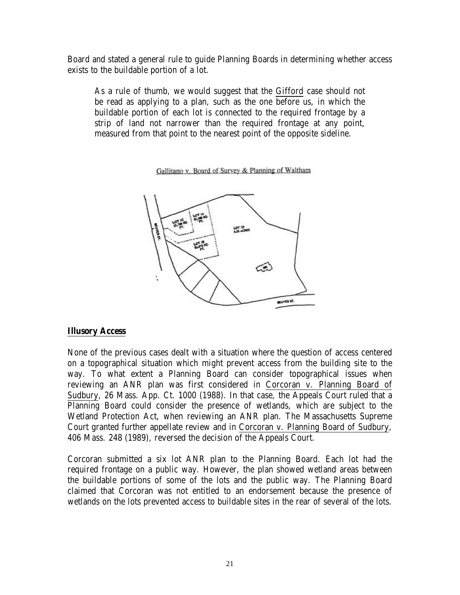Board and stated a general rule to guide Planning Boards in determining whether access exists to the buildable portion of a lot.

As a rule of thumb, we would suggest that the Gifford case should not be read as applying to a plan, such as the one before us, in which the buildable portion of each lot is connected to the required frontage by a strip of land not narrower than the required frontage at any point, measured from that point to the nearest point of the opposite sideline.

Gallitano v. Board of Survey & Planning of Waltham



#### **Illusory Access**

None of the previous cases dealt with a situation where the question of access centered on a topographical situation which might prevent access from the building site to the way. To what extent a Planning Board can consider topographical issues when reviewing an ANR plan was first considered in Corcoran v. Planning Board of Sudbury, 26 Mass. App. Ct. 1000 (1988). In that case, the Appeals Court ruled that a Planning Board could consider the presence of wetlands, which are subject to the Wetland Protection Act, when reviewing an ANR plan. The Massachusetts Supreme Court granted further appellate review and in Corcoran v. Planning Board of Sudbury, 406 Mass. 248 (1989), reversed the decision of the Appeals Court.

Corcoran submitted a six lot ANR plan to the Planning Board. Each lot had the required frontage on a public way. However, the plan showed wetland areas between the buildable portions of some of the lots and the public way. The Planning Board claimed that Corcoran was not entitled to an endorsement because the presence of wetlands on the lots prevented access to buildable sites in the rear of several of the lots.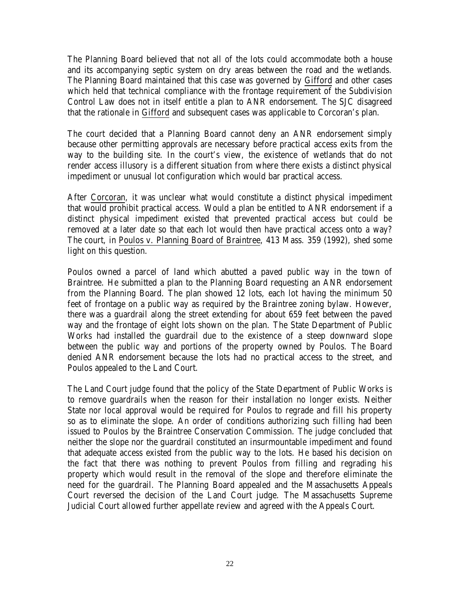The Planning Board believed that not all of the lots could accommodate both a house and its accompanying septic system on dry areas between the road and the wetlands. The Planning Board maintained that this case was governed by Gifford and other cases which held that technical compliance with the frontage requirement of the Subdivision Control Law does not in itself entitle a plan to ANR endorsement. The SJC disagreed that the rationale in Gifford and subsequent cases was applicable to Corcoran's plan.

The court decided that a Planning Board cannot deny an ANR endorsement simply because other permitting approvals are necessary before practical access exits from the way to the building site. In the court's view, the existence of wetlands that do not render access illusory is a different situation from where there exists a distinct physical impediment or unusual lot configuration which would bar practical access.

After Corcoran, it was unclear what would constitute a distinct physical impediment that would prohibit practical access. Would a plan be entitled to ANR endorsement if a distinct physical impediment existed that prevented practical access but could be removed at a later date so that each lot would then have practical access onto a way? The court, in Poulos v. Planning Board of Braintree, 413 Mass. 359 (1992), shed some light on this question.

Poulos owned a parcel of land which abutted a paved public way in the town of Braintree. He submitted a plan to the Planning Board requesting an ANR endorsement from the Planning Board. The plan showed 12 lots, each lot having the minimum 50 feet of frontage on a public way as required by the Braintree zoning bylaw. However, there was a guardrail along the street extending for about 659 feet between the paved way and the frontage of eight lots shown on the plan. The State Department of Public Works had installed the guardrail due to the existence of a steep downward slope between the public way and portions of the property owned by Poulos. The Board denied ANR endorsement because the lots had no practical access to the street, and Poulos appealed to the Land Court.

The Land Court judge found that the policy of the State Department of Public Works is to remove guardrails when the reason for their installation no longer exists. Neither State nor local approval would be required for Poulos to regrade and fill his property so as to eliminate the slope. An order of conditions authorizing such filling had been issued to Poulos by the Braintree Conservation Commission. The judge concluded that neither the slope nor the guardrail constituted an insurmountable impediment and found that adequate access existed from the public way to the lots. He based his decision on the fact that there was nothing to prevent Poulos from filling and regrading his property which would result in the removal of the slope and therefore eliminate the need for the guardrail. The Planning Board appealed and the Massachusetts Appeals Court reversed the decision of the Land Court judge. The Massachusetts Supreme Judicial Court allowed further appellate review and agreed with the Appeals Court.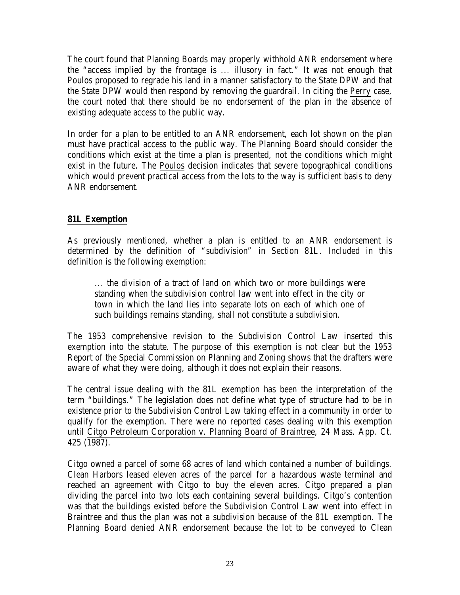The court found that Planning Boards may properly withhold ANR endorsement where the "access implied by the frontage is ... illusory in fact." It was not enough that Poulos proposed to regrade his land in a manner satisfactory to the State DPW and that the State DPW would then respond by removing the guardrail. In citing the Perry case, the court noted that there should be no endorsement of the plan in the absence of existing adequate access to the public way.

In order for a plan to be entitled to an ANR endorsement, each lot shown on the plan must have practical access to the public way. The Planning Board should consider the conditions which exist at the time a plan is presented, not the conditions which might exist in the future. The Poulos decision indicates that severe topographical conditions which would prevent practical access from the lots to the way is sufficient basis to deny ANR endorsement.

# **81L Exemption**

As previously mentioned, whether a plan is entitled to an ANR endorsement is determined by the definition of "subdivision" in Section 81L. Included in this definition is the following exemption:

... the division of a tract of land on which two or more buildings were standing when the subdivision control law went into effect in the city or town in which the land lies into separate lots on each of which one of such buildings remains standing, shall not constitute a subdivision.

The 1953 comprehensive revision to the Subdivision Control Law inserted this exemption into the statute. The purpose of this exemption is not clear but the 1953 Report of the Special Commission on Planning and Zoning shows that the drafters were aware of what they were doing, although it does not explain their reasons.

The central issue dealing with the 81L exemption has been the interpretation of the term "buildings." The legislation does not define what type of structure had to be in existence prior to the Subdivision Control Law taking effect in a community in order to qualify for the exemption. There were no reported cases dealing with this exemption until Citgo Petroleum Corporation v. Planning Board of Braintree, 24 Mass. App. Ct. 425 (1987).

Citgo owned a parcel of some 68 acres of land which contained a number of buildings. Clean Harbors leased eleven acres of the parcel for a hazardous waste terminal and reached an agreement with Citgo to buy the eleven acres. Citgo prepared a plan dividing the parcel into two lots each containing several buildings. Citgo's contention was that the buildings existed before the Subdivision Control Law went into effect in Braintree and thus the plan was not a subdivision because of the 81L exemption. The Planning Board denied ANR endorsement because the lot to be conveyed to Clean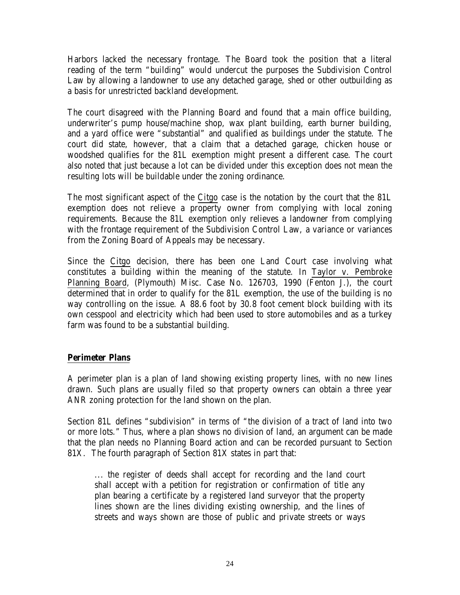Harbors lacked the necessary frontage. The Board took the position that a literal reading of the term "building" would undercut the purposes the Subdivision Control Law by allowing a landowner to use any detached garage, shed or other outbuilding as a basis for unrestricted backland development.

The court disagreed with the Planning Board and found that a main office building, underwriter's pump house/machine shop, wax plant building, earth burner building, and a yard office were "substantial" and qualified as buildings under the statute. The court did state, however, that a claim that a detached garage, chicken house or woodshed qualifies for the 81L exemption might present a different case. The court also noted that just because a lot can be divided under this exception does not mean the resulting lots will be buildable under the zoning ordinance.

The most significant aspect of the Citgo case is the notation by the court that the 81L exemption does not relieve a property owner from complying with local zoning requirements. Because the 81L exemption only relieves a landowner from complying with the frontage requirement of the Subdivision Control Law, a variance or variances from the Zoning Board of Appeals may be necessary.

Since the Citgo decision, there has been one Land Court case involving what constitutes a building within the meaning of the statute. In Taylor v. Pembroke Planning Board, (Plymouth) Misc. Case No. 126703, 1990 (Fenton J.), the court determined that in order to qualify for the 81L exemption, the use of the building is no way controlling on the issue. A 88.6 foot by 30.8 foot cement block building with its own cesspool and electricity which had been used to store automobiles and as a turkey farm was found to be a substantial building.

# **Perimeter Plans**

A perimeter plan is a plan of land showing existing property lines, with no new lines drawn. Such plans are usually filed so that property owners can obtain a three year ANR zoning protection for the land shown on the plan.

Section 81L defines "subdivision" in terms of "the division of a tract of land into two or more lots." Thus, where a plan shows no division of land, an argument can be made that the plan needs no Planning Board action and can be recorded pursuant to Section 81X. The fourth paragraph of Section 81X states in part that:

... the register of deeds shall accept for recording and the land court shall accept with a petition for registration or confirmation of title any plan bearing a certificate by a registered land surveyor that the property lines shown are the lines dividing existing ownership, and the lines of streets and ways shown are those of public and private streets or ways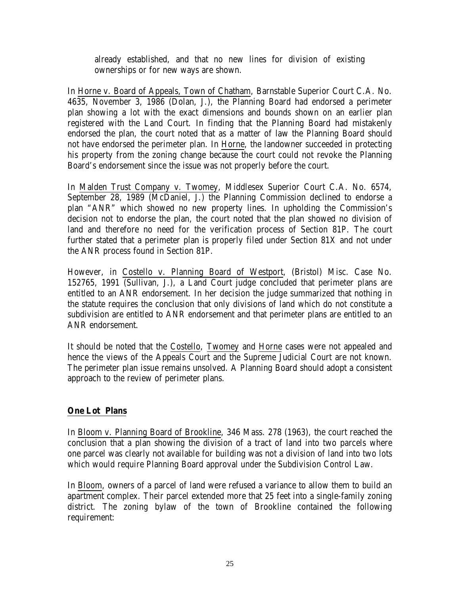already established, and that no new lines for division of existing ownerships or for new ways are shown.

In Horne v. Board of Appeals, Town of Chatham, Barnstable Superior Court C.A. No. 4635, November 3, 1986 (Dolan, J.), the Planning Board had endorsed a perimeter plan showing a lot with the exact dimensions and bounds shown on an earlier plan registered with the Land Court. In finding that the Planning Board had mistakenly endorsed the plan, the court noted that as a matter of law the Planning Board should not have endorsed the perimeter plan. In Horne, the landowner succeeded in protecting his property from the zoning change because the court could not revoke the Planning Board's endorsement since the issue was not properly before the court.

In Malden Trust Company v. Twomey, Middlesex Superior Court C.A. No. 6574, September 28, 1989 (McDaniel, J.) the Planning Commission declined to endorse a plan "ANR" which showed no new property lines. In upholding the Commission's decision not to endorse the plan, the court noted that the plan showed no division of land and therefore no need for the verification process of Section 81P. The court further stated that a perimeter plan is properly filed under Section 81X and not under the ANR process found in Section 81P.

However, in Costello v. Planning Board of Westport, (Bristol) Misc. Case No. 152765, 1991 (Sullivan, J.), a Land Court judge concluded that perimeter plans are entitled to an ANR endorsement. In her decision the judge summarized that nothing in the statute requires the conclusion that only divisions of land which do not constitute a subdivision are entitled to ANR endorsement and that perimeter plans are entitled to an ANR endorsement.

It should be noted that the Costello, Twomey and Horne cases were not appealed and hence the views of the Appeals Court and the Supreme Judicial Court are not known. The perimeter plan issue remains unsolved. A Planning Board should adopt a consistent approach to the review of perimeter plans.

# **One Lot Plans**

In Bloom v. Planning Board of Brookline, 346 Mass. 278 (1963), the court reached the conclusion that a plan showing the division of a tract of land into two parcels where one parcel was clearly not available for building was not a division of land into two lots which would require Planning Board approval under the Subdivision Control Law.

In Bloom, owners of a parcel of land were refused a variance to allow them to build an apartment complex. Their parcel extended more that 25 feet into a single-family zoning district. The zoning bylaw of the town of Brookline contained the following requirement: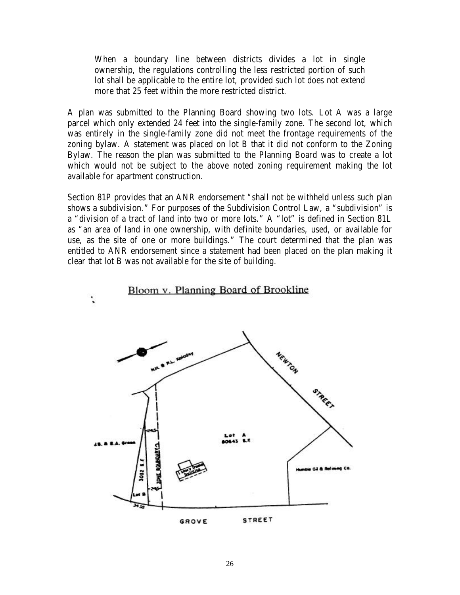When a boundary line between districts divides a lot in single ownership, the regulations controlling the less restricted portion of such lot shall be applicable to the entire lot, provided such lot does not extend more that 25 feet within the more restricted district.

A plan was submitted to the Planning Board showing two lots. Lot A was a large parcel which only extended 24 feet into the single-family zone. The second lot, which was entirely in the single-family zone did not meet the frontage requirements of the zoning bylaw. A statement was placed on lot B that it did not conform to the Zoning Bylaw. The reason the plan was submitted to the Planning Board was to create a lot which would not be subject to the above noted zoning requirement making the lot available for apartment construction.

Section 81P provides that an ANR endorsement "shall not be withheld unless such plan shows a subdivision." For purposes of the Subdivision Control Law, a "subdivision" is a "division of a tract of land into two or more lots." A "lot" is defined in Section 81L as "an area of land in one ownership, with definite boundaries, used, or available for use, as the site of one or more buildings." The court determined that the plan was entitled to ANR endorsement since a statement had been placed on the plan making it clear that lot B was not available for the site of building.

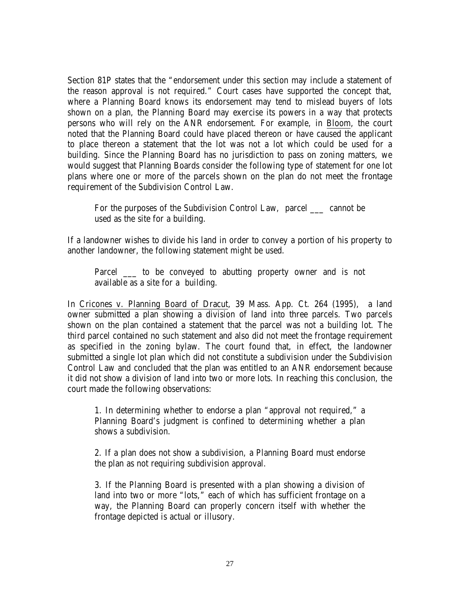Section 81P states that the "endorsement under this section may include a statement of the reason approval is not required." Court cases have supported the concept that, where a Planning Board knows its endorsement may tend to mislead buyers of lots shown on a plan, the Planning Board may exercise its powers in a way that protects persons who will rely on the ANR endorsement. For example, in Bloom, the court noted that the Planning Board could have placed thereon or have caused the applicant to place thereon a statement that the lot was not a lot which could be used for a building. Since the Planning Board has no jurisdiction to pass on zoning matters, we would suggest that Planning Boards consider the following type of statement for one lot plans where one or more of the parcels shown on the plan do not meet the frontage requirement of the Subdivision Control Law.

For the purposes of the Subdivision Control Law, parcel cannot be used as the site for a building.

If a landowner wishes to divide his land in order to convey a portion of his property to another landowner, the following statement might be used.

Parcel \_\_\_\_ to be conveyed to abutting property owner and is not available as a site for a building.

In Cricones v. Planning Board of Dracut, 39 Mass. App. Ct. 264 (1995), a land owner submitted a plan showing a division of land into three parcels. Two parcels shown on the plan contained a statement that the parcel was not a building lot. The third parcel contained no such statement and also did not meet the frontage requirement as specified in the zoning bylaw. The court found that, in effect, the landowner submitted a single lot plan which did not constitute a subdivision under the Subdivision Control Law and concluded that the plan was entitled to an ANR endorsement because it did not show a division of land into two or more lots. In reaching this conclusion, the court made the following observations:

1. In determining whether to endorse a plan "approval not required," a Planning Board's judgment is confined to determining whether a plan shows a subdivision.

2. If a plan does not show a subdivision, a Planning Board must endorse the plan as not requiring subdivision approval.

3. If the Planning Board is presented with a plan showing a division of land into two or more "lots," each of which has sufficient frontage on a way, the Planning Board can properly concern itself with whether the frontage depicted is actual or illusory.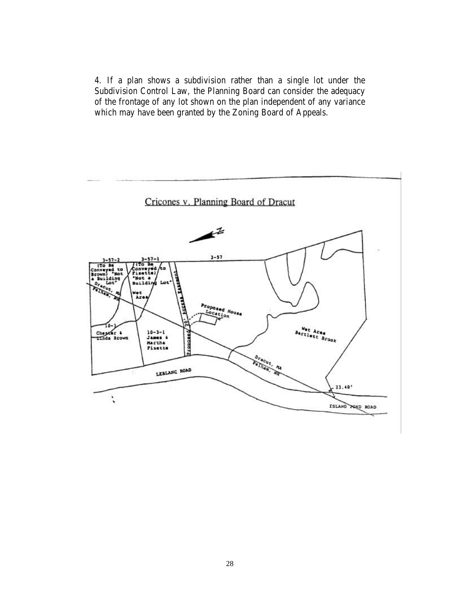4. If a plan shows a subdivision rather than a single lot under the Subdivision Control Law, the Planning Board can consider the adequacy of the frontage of any lot shown on the plan independent of any variance which may have been granted by the Zoning Board of Appeals.

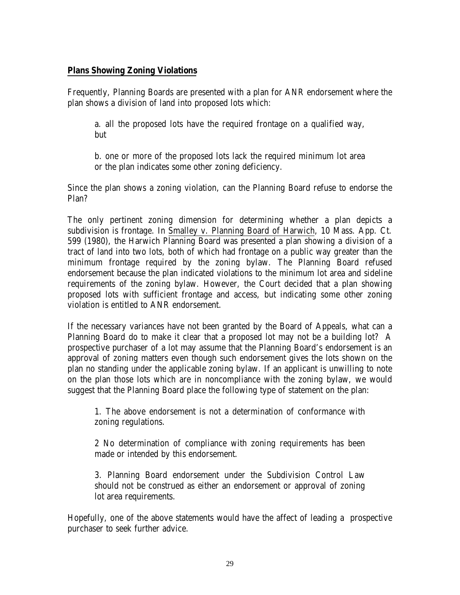#### **Plans Showing Zoning Violations**

Frequently, Planning Boards are presented with a plan for ANR endorsement where the plan shows a division of land into proposed lots which:

a. all the proposed lots have the required frontage on a qualified way, but

b. one or more of the proposed lots lack the required minimum lot area or the plan indicates some other zoning deficiency.

Since the plan shows a zoning violation, can the Planning Board refuse to endorse the Plan?

The only pertinent zoning dimension for determining whether a plan depicts a subdivision is frontage. In Smalley v. Planning Board of Harwich, 10 Mass. App. Ct. 599 (1980), the Harwich Planning Board was presented a plan showing a division of a tract of land into two lots, both of which had frontage on a public way greater than the minimum frontage required by the zoning bylaw. The Planning Board refused endorsement because the plan indicated violations to the minimum lot area and sideline requirements of the zoning bylaw. However, the Court decided that a plan showing proposed lots with sufficient frontage and access, but indicating some other zoning violation is entitled to ANR endorsement.

If the necessary variances have not been granted by the Board of Appeals, what can a Planning Board do to make it clear that a proposed lot may not be a building lot? A prospective purchaser of a lot may assume that the Planning Board's endorsement is an approval of zoning matters even though such endorsement gives the lots shown on the plan no standing under the applicable zoning bylaw. If an applicant is unwilling to note on the plan those lots which are in noncompliance with the zoning bylaw, we would suggest that the Planning Board place the following type of statement on the plan:

1. The above endorsement is not a determination of conformance with zoning regulations.

2 No determination of compliance with zoning requirements has been made or intended by this endorsement.

3. Planning Board endorsement under the Subdivision Control Law should not be construed as either an endorsement or approval of zoning lot area requirements.

Hopefully, one of the above statements would have the affect of leading a prospective purchaser to seek further advice.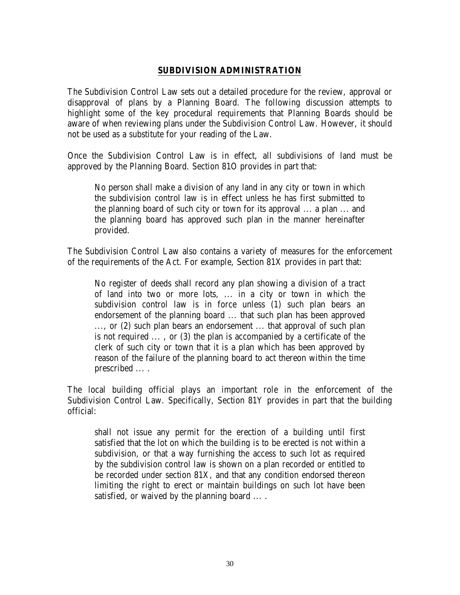#### **SUBDIVISION ADMINISTRATION**

The Subdivision Control Law sets out a detailed procedure for the review, approval or disapproval of plans by a Planning Board. The following discussion attempts to highlight some of the key procedural requirements that Planning Boards should be aware of when reviewing plans under the Subdivision Control Law. However, it should not be used as a substitute for your reading of the Law.

Once the Subdivision Control Law is in effect, all subdivisions of land must be approved by the Planning Board. Section 81O provides in part that:

No person shall make a division of any land in any city or town in which the subdivision control law is in effect unless he has first submitted to the planning board of such city or town for its approval ... a plan ... and the planning board has approved such plan in the manner hereinafter provided.

The Subdivision Control Law also contains a variety of measures for the enforcement of the requirements of the Act. For example, Section 81X provides in part that:

No register of deeds shall record any plan showing a division of a tract of land into two or more lots, ... in a city or town in which the subdivision control law is in force unless (1) such plan bears an endorsement of the planning board ... that such plan has been approved ..., or (2) such plan bears an endorsement ... that approval of such plan is not required ... , or (3) the plan is accompanied by a certificate of the clerk of such city or town that it is a plan which has been approved by reason of the failure of the planning board to act thereon within the time prescribed ... .

The local building official plays an important role in the enforcement of the Subdivision Control Law. Specifically, Section 81Y provides in part that the building official:

shall not issue any permit for the erection of a building until first satisfied that the lot on which the building is to be erected is not within a subdivision, or that a way furnishing the access to such lot as required by the subdivision control law is shown on a plan recorded or entitled to be recorded under section 81X, and that any condition endorsed thereon limiting the right to erect or maintain buildings on such lot have been satisfied, or waived by the planning board ... .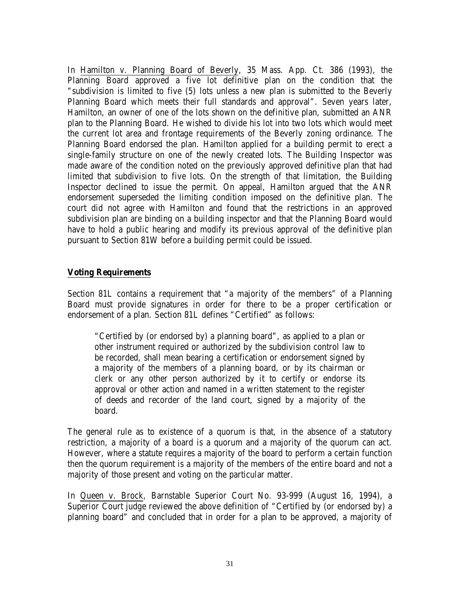In Hamilton v. Planning Board of Beverly, 35 Mass. App. Ct. 386 (1993), the Planning Board approved a five lot definitive plan on the condition that the "subdivision is limited to five (5) lots unless a new plan is submitted to the Beverly Planning Board which meets their full standards and approval". Seven years later, Hamilton, an owner of one of the lots shown on the definitive plan, submitted an ANR plan to the Planning Board. He wished to divide his lot into two lots which would meet the current lot area and frontage requirements of the Beverly zoning ordinance. The Planning Board endorsed the plan. Hamilton applied for a building permit to erect a single-family structure on one of the newly created lots. The Building Inspector was made aware of the condition noted on the previously approved definitive plan that had limited that subdivision to five lots. On the strength of that limitation, the Building Inspector declined to issue the permit. On appeal, Hamilton argued that the ANR endorsement superseded the limiting condition imposed on the definitive plan. The court did not agree with Hamilton and found that the restrictions in an approved subdivision plan are binding on a building inspector and that the Planning Board would have to hold a public hearing and modify its previous approval of the definitive plan pursuant to Section 81W before a building permit could be issued.

## **Voting Requirements**

Section 81L contains a requirement that "a majority of the members" of a Planning Board must provide signatures in order for there to be a proper certification or endorsement of a plan. Section 81L defines "Certified" as follows:

"Certified by (or endorsed by) a planning board", as applied to a plan or other instrument required or authorized by the subdivision control law to be recorded, shall mean bearing a certification or endorsement signed by a majority of the members of a planning board, or by its chairman or clerk or any other person authorized by it to certify or endorse its approval or other action and named in a written statement to the register of deeds and recorder of the land court, signed by a majority of the board.

The general rule as to existence of a quorum is that, in the absence of a statutory restriction, a majority of a board is a quorum and a majority of the quorum can act. However, where a statute requires a majority of the board to perform a certain function then the quorum requirement is a majority of the members of the entire board and not a majority of those present and voting on the particular matter.

In Queen v. Brock, Barnstable Superior Court No. 93-999 (August 16, 1994), a Superior Court judge reviewed the above definition of "Certified by (or endorsed by) a planning board" and concluded that in order for a plan to be approved, a majority of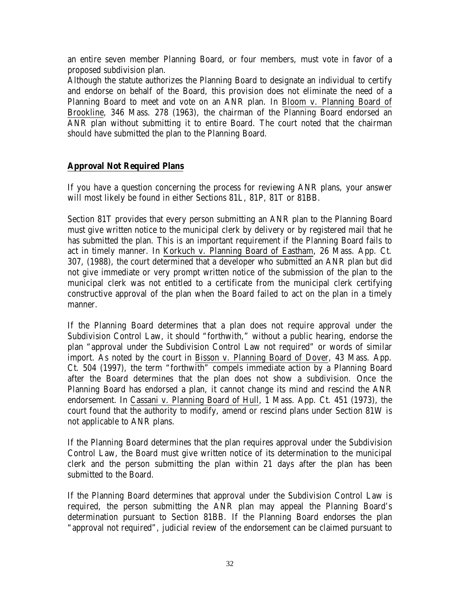an entire seven member Planning Board, or four members, must vote in favor of a proposed subdivision plan.

Although the statute authorizes the Planning Board to designate an individual to certify and endorse on behalf of the Board, this provision does not eliminate the need of a Planning Board to meet and vote on an ANR plan. In Bloom v. Planning Board of Brookline, 346 Mass. 278 (1963), the chairman of the Planning Board endorsed an ANR plan without submitting it to entire Board. The court noted that the chairman should have submitted the plan to the Planning Board.

#### **Approval Not Required Plans**

If you have a question concerning the process for reviewing ANR plans, your answer will most likely be found in either Sections 81L, 81P, 81T or 81BB.

Section 81T provides that every person submitting an ANR plan to the Planning Board must give written notice to the municipal clerk by delivery or by registered mail that he has submitted the plan. This is an important requirement if the Planning Board fails to act in timely manner. In Korkuch v. Planning Board of Eastham, 26 Mass. App. Ct. 307, (1988), the court determined that a developer who submitted an ANR plan but did not give immediate or very prompt written notice of the submission of the plan to the municipal clerk was not entitled to a certificate from the municipal clerk certifying constructive approval of the plan when the Board failed to act on the plan in a timely manner.

If the Planning Board determines that a plan does not require approval under the Subdivision Control Law, it should "forthwith," without a public hearing, endorse the plan "approval under the Subdivision Control Law not required" or words of similar import. As noted by the court in Bisson v. Planning Board of Dover, 43 Mass. App. Ct. 504 (1997), the term "forthwith" compels immediate action by a Planning Board after the Board determines that the plan does not show a subdivision. Once the Planning Board has endorsed a plan, it cannot change its mind and rescind the ANR endorsement. In Cassani v. Planning Board of Hull, 1 Mass. App. Ct. 451 (1973), the court found that the authority to modify, amend or rescind plans under Section 81W is not applicable to ANR plans.

If the Planning Board determines that the plan requires approval under the Subdivision Control Law, the Board must give written notice of its determination to the municipal clerk and the person submitting the plan within 21 days after the plan has been submitted to the Board.

If the Planning Board determines that approval under the Subdivision Control Law is required, the person submitting the ANR plan may appeal the Planning Board's determination pursuant to Section 81BB. If the Planning Board endorses the plan "approval not required", judicial review of the endorsement can be claimed pursuant to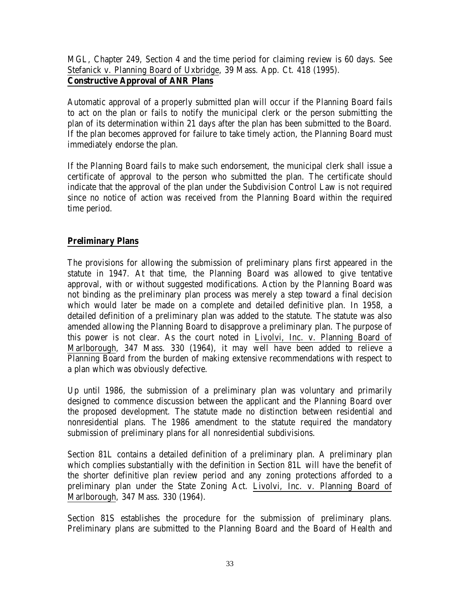MGL, Chapter 249, Section 4 and the time period for claiming review is 60 days. See Stefanick v. Planning Board of Uxbridge, 39 Mass. App. Ct. 418 (1995). **Constructive Approval of ANR Plans**

Automatic approval of a properly submitted plan will occur if the Planning Board fails to act on the plan or fails to notify the municipal clerk or the person submitting the plan of its determination within 21 days after the plan has been submitted to the Board. If the plan becomes approved for failure to take timely action, the Planning Board must immediately endorse the plan.

If the Planning Board fails to make such endorsement, the municipal clerk shall issue a certificate of approval to the person who submitted the plan. The certificate should indicate that the approval of the plan under the Subdivision Control Law is not required since no notice of action was received from the Planning Board within the required time period.

# **Preliminary Plans**

The provisions for allowing the submission of preliminary plans first appeared in the statute in 1947. At that time, the Planning Board was allowed to give tentative approval, with or without suggested modifications. Action by the Planning Board was not binding as the preliminary plan process was merely a step toward a final decision which would later be made on a complete and detailed definitive plan. In 1958, a detailed definition of a preliminary plan was added to the statute. The statute was also amended allowing the Planning Board to disapprove a preliminary plan. The purpose of this power is not clear. As the court noted in Livolvi, Inc. v. Planning Board of Marlborough, 347 Mass. 330 (1964), it may well have been added to relieve a Planning Board from the burden of making extensive recommendations with respect to a plan which was obviously defective.

Up until 1986, the submission of a preliminary plan was voluntary and primarily designed to commence discussion between the applicant and the Planning Board over the proposed development. The statute made no distinction between residential and nonresidential plans. The 1986 amendment to the statute required the mandatory submission of preliminary plans for all nonresidential subdivisions.

Section 81L contains a detailed definition of a preliminary plan. A preliminary plan which complies substantially with the definition in Section 81L will have the benefit of the shorter definitive plan review period and any zoning protections afforded to a preliminary plan under the State Zoning Act. Livolvi, Inc. v. Planning Board of Marlborough, 347 Mass. 330 (1964).

Section 81S establishes the procedure for the submission of preliminary plans. Preliminary plans are submitted to the Planning Board and the Board of Health and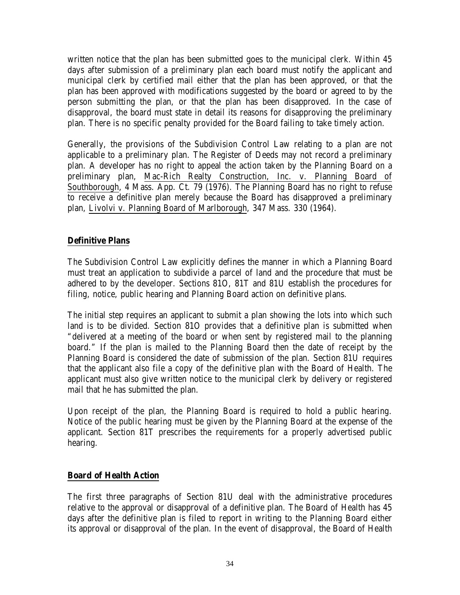written notice that the plan has been submitted goes to the municipal clerk. Within 45 days after submission of a preliminary plan each board must notify the applicant and municipal clerk by certified mail either that the plan has been approved, or that the plan has been approved with modifications suggested by the board or agreed to by the person submitting the plan, or that the plan has been disapproved. In the case of disapproval, the board must state in detail its reasons for disapproving the preliminary plan. There is no specific penalty provided for the Board failing to take timely action.

Generally, the provisions of the Subdivision Control Law relating to a plan are not applicable to a preliminary plan. The Register of Deeds may not record a preliminary plan. A developer has no right to appeal the action taken by the Planning Board on a preliminary plan, Mac-Rich Realty Construction, Inc. v. Planning Board of Southborough, 4 Mass. App. Ct. 79 (1976). The Planning Board has no right to refuse to receive a definitive plan merely because the Board has disapproved a preliminary plan, Livolvi v. Planning Board of Marlborough, 347 Mass. 330 (1964).

# **Definitive Plans**

The Subdivision Control Law explicitly defines the manner in which a Planning Board must treat an application to subdivide a parcel of land and the procedure that must be adhered to by the developer. Sections 81O, 81T and 81U establish the procedures for filing, notice, public hearing and Planning Board action on definitive plans.

The initial step requires an applicant to submit a plan showing the lots into which such land is to be divided. Section 81O provides that a definitive plan is submitted when "delivered at a meeting of the board or when sent by registered mail to the planning board." If the plan is mailed to the Planning Board then the date of receipt by the Planning Board is considered the date of submission of the plan. Section 81U requires that the applicant also file a copy of the definitive plan with the Board of Health. The applicant must also give written notice to the municipal clerk by delivery or registered mail that he has submitted the plan.

Upon receipt of the plan, the Planning Board is required to hold a public hearing. Notice of the public hearing must be given by the Planning Board at the expense of the applicant. Section 81T prescribes the requirements for a properly advertised public hearing.

#### **Board of Health Action**

The first three paragraphs of Section 81U deal with the administrative procedures relative to the approval or disapproval of a definitive plan. The Board of Health has 45 days after the definitive plan is filed to report in writing to the Planning Board either its approval or disapproval of the plan. In the event of disapproval, the Board of Health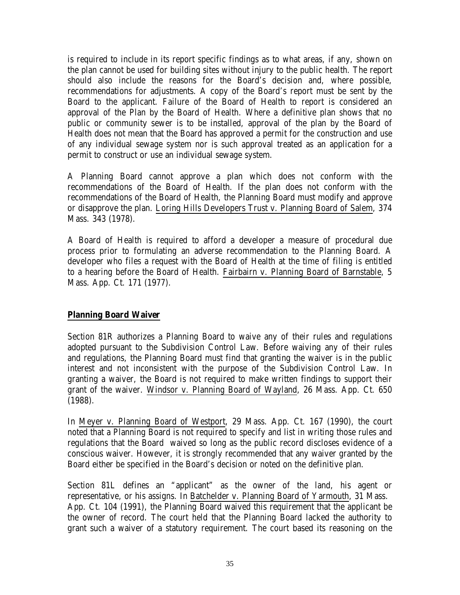is required to include in its report specific findings as to what areas, if any, shown on the plan cannot be used for building sites without injury to the public health. The report should also include the reasons for the Board's decision and, where possible, recommendations for adjustments. A copy of the Board's report must be sent by the Board to the applicant. Failure of the Board of Health to report is considered an approval of the Plan by the Board of Health. Where a definitive plan shows that no public or community sewer is to be installed, approval of the plan by the Board of Health does not mean that the Board has approved a permit for the construction and use of any individual sewage system nor is such approval treated as an application for a permit to construct or use an individual sewage system.

A Planning Board cannot approve a plan which does not conform with the recommendations of the Board of Health. If the plan does not conform with the recommendations of the Board of Health, the Planning Board must modify and approve or disapprove the plan. Loring Hills Developers Trust v. Planning Board of Salem, 374 Mass. 343 (1978).

A Board of Health is required to afford a developer a measure of procedural due process prior to formulating an adverse recommendation to the Planning Board. A developer who files a request with the Board of Health at the time of filing is entitled to a hearing before the Board of Health. Fairbairn v. Planning Board of Barnstable, 5 Mass. App. Ct. 171 (1977).

#### **Planning Board Waiver**

Section 81R authorizes a Planning Board to waive any of their rules and regulations adopted pursuant to the Subdivision Control Law. Before waiving any of their rules and regulations, the Planning Board must find that granting the waiver is in the public interest and not inconsistent with the purpose of the Subdivision Control Law. In granting a waiver, the Board is not required to make written findings to support their grant of the waiver. Windsor v. Planning Board of Wayland, 26 Mass. App. Ct. 650 (1988).

In Meyer v. Planning Board of Westport, 29 Mass. App. Ct. 167 (1990), the court noted that a Planning Board is not required to specify and list in writing those rules and regulations that the Board waived so long as the public record discloses evidence of a conscious waiver. However, it is strongly recommended that any waiver granted by the Board either be specified in the Board's decision or noted on the definitive plan.

Section 81L defines an "applicant" as the owner of the land, his agent or representative, or his assigns. In Batchelder v. Planning Board of Yarmouth, 31 Mass. App. Ct. 104 (1991), the Planning Board waived this requirement that the applicant be the owner of record. The court held that the Planning Board lacked the authority to grant such a waiver of a statutory requirement. The court based its reasoning on the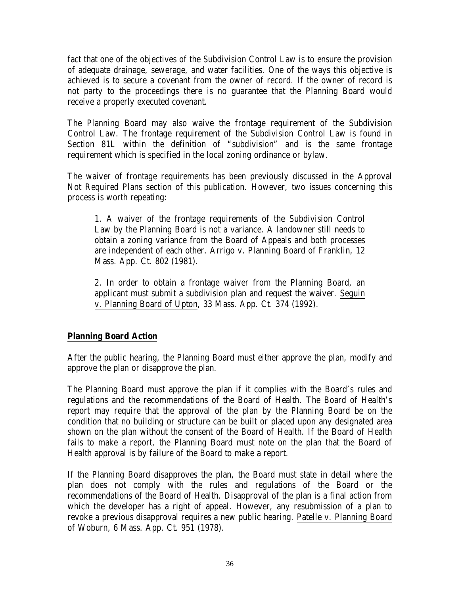fact that one of the objectives of the Subdivision Control Law is to ensure the provision of adequate drainage, sewerage, and water facilities. One of the ways this objective is achieved is to secure a covenant from the owner of record. If the owner of record is not party to the proceedings there is no guarantee that the Planning Board would receive a properly executed covenant.

The Planning Board may also waive the frontage requirement of the Subdivision Control Law. The frontage requirement of the Subdivision Control Law is found in Section 81L within the definition of "subdivision" and is the same frontage requirement which is specified in the local zoning ordinance or bylaw.

The waiver of frontage requirements has been previously discussed in the Approval Not Required Plans section of this publication. However, two issues concerning this process is worth repeating:

1. A waiver of the frontage requirements of the Subdivision Control Law by the Planning Board is not a variance. A landowner still needs to obtain a zoning variance from the Board of Appeals and both processes are independent of each other. Arrigo v. Planning Board of Franklin, 12 Mass. App. Ct. 802 (1981).

2. In order to obtain a frontage waiver from the Planning Board, an applicant must submit a subdivision plan and request the waiver. Seguin v. Planning Board of Upton, 33 Mass. App. Ct. 374 (1992).

# **Planning Board Action**

After the public hearing, the Planning Board must either approve the plan, modify and approve the plan or disapprove the plan.

The Planning Board must approve the plan if it complies with the Board's rules and regulations and the recommendations of the Board of Health. The Board of Health's report may require that the approval of the plan by the Planning Board be on the condition that no building or structure can be built or placed upon any designated area shown on the plan without the consent of the Board of Health. If the Board of Health fails to make a report, the Planning Board must note on the plan that the Board of Health approval is by failure of the Board to make a report.

If the Planning Board disapproves the plan, the Board must state in detail where the plan does not comply with the rules and regulations of the Board or the recommendations of the Board of Health. Disapproval of the plan is a final action from which the developer has a right of appeal. However, any resubmission of a plan to revoke a previous disapproval requires a new public hearing. Patelle v. Planning Board of Woburn, 6 Mass. App. Ct. 951 (1978).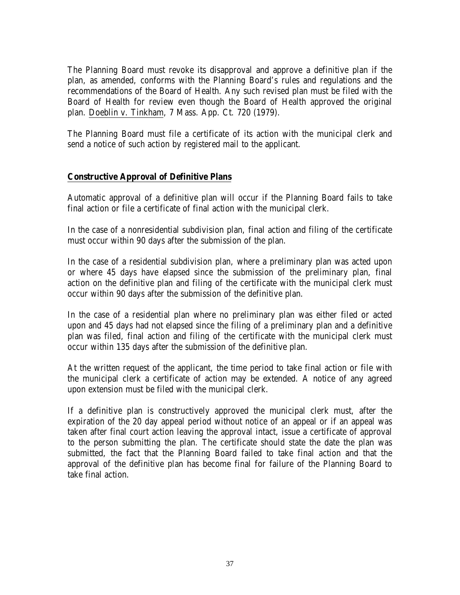The Planning Board must revoke its disapproval and approve a definitive plan if the plan, as amended, conforms with the Planning Board's rules and regulations and the recommendations of the Board of Health. Any such revised plan must be filed with the Board of Health for review even though the Board of Health approved the original plan. Doeblin v. Tinkham, 7 Mass. App. Ct. 720 (1979).

The Planning Board must file a certificate of its action with the municipal clerk and send a notice of such action by registered mail to the applicant.

## **Constructive Approval of Definitive Plans**

Automatic approval of a definitive plan will occur if the Planning Board fails to take final action or file a certificate of final action with the municipal clerk.

In the case of a nonresidential subdivision plan, final action and filing of the certificate must occur within 90 days after the submission of the plan.

In the case of a residential subdivision plan, where a preliminary plan was acted upon or where 45 days have elapsed since the submission of the preliminary plan, final action on the definitive plan and filing of the certificate with the municipal clerk must occur within 90 days after the submission of the definitive plan.

In the case of a residential plan where no preliminary plan was either filed or acted upon and 45 days had not elapsed since the filing of a preliminary plan and a definitive plan was filed, final action and filing of the certificate with the municipal clerk must occur within 135 days after the submission of the definitive plan.

At the written request of the applicant, the time period to take final action or file with the municipal clerk a certificate of action may be extended. A notice of any agreed upon extension must be filed with the municipal clerk.

If a definitive plan is constructively approved the municipal clerk must, after the expiration of the 20 day appeal period without notice of an appeal or if an appeal was taken after final court action leaving the approval intact, issue a certificate of approval to the person submitting the plan. The certificate should state the date the plan was submitted, the fact that the Planning Board failed to take final action and that the approval of the definitive plan has become final for failure of the Planning Board to take final action.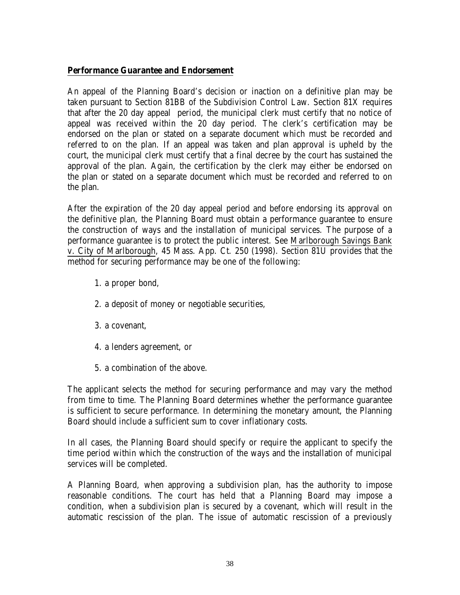#### **Performance Guarantee and Endorsement**

An appeal of the Planning Board's decision or inaction on a definitive plan may be taken pursuant to Section 81BB of the Subdivision Control Law. Section 81X requires that after the 20 day appeal period, the municipal clerk must certify that no notice of appeal was received within the 20 day period. The clerk's certification may be endorsed on the plan or stated on a separate document which must be recorded and referred to on the plan. If an appeal was taken and plan approval is upheld by the court, the municipal clerk must certify that a final decree by the court has sustained the approval of the plan. Again, the certification by the clerk may either be endorsed on the plan or stated on a separate document which must be recorded and referred to on the plan.

After the expiration of the 20 day appeal period and before endorsing its approval on the definitive plan, the Planning Board must obtain a performance guarantee to ensure the construction of ways and the installation of municipal services. The purpose of a performance guarantee is to protect the public interest. See Marlborough Savings Bank v. City of Marlborough, 45 Mass. App. Ct. 250 (1998). Section 81U provides that the method for securing performance may be one of the following:

- 1. a proper bond,
- 2. a deposit of money or negotiable securities,
- 3. a covenant,
- 4. a lenders agreement, or
- 5. a combination of the above.

The applicant selects the method for securing performance and may vary the method from time to time. The Planning Board determines whether the performance guarantee is sufficient to secure performance. In determining the monetary amount, the Planning Board should include a sufficient sum to cover inflationary costs.

In all cases, the Planning Board should specify or require the applicant to specify the time period within which the construction of the ways and the installation of municipal services will be completed.

A Planning Board, when approving a subdivision plan, has the authority to impose reasonable conditions. The court has held that a Planning Board may impose a condition, when a subdivision plan is secured by a covenant, which will result in the automatic rescission of the plan. The issue of automatic rescission of a previously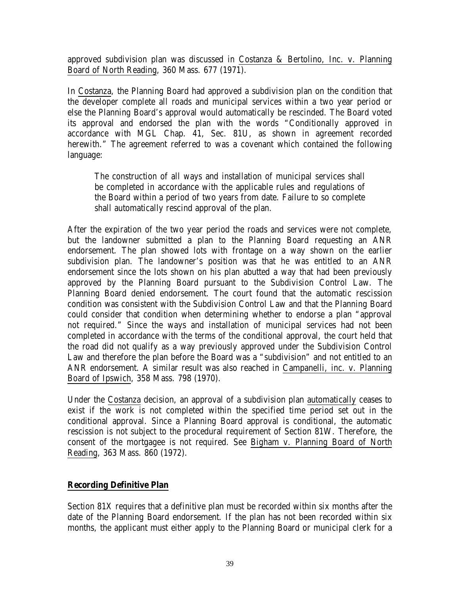approved subdivision plan was discussed in Costanza & Bertolino, Inc. v. Planning Board of North Reading, 360 Mass. 677 (1971).

In Costanza, the Planning Board had approved a subdivision plan on the condition that the developer complete all roads and municipal services within a two year period or else the Planning Board's approval would automatically be rescinded. The Board voted its approval and endorsed the plan with the words "Conditionally approved in accordance with MGL Chap. 41, Sec. 81U, as shown in agreement recorded herewith." The agreement referred to was a covenant which contained the following language:

The construction of all ways and installation of municipal services shall be completed in accordance with the applicable rules and regulations of the Board within a period of two years from date. Failure to so complete shall automatically rescind approval of the plan.

After the expiration of the two year period the roads and services were not complete, but the landowner submitted a plan to the Planning Board requesting an ANR endorsement. The plan showed lots with frontage on a way shown on the earlier subdivision plan. The landowner's position was that he was entitled to an ANR endorsement since the lots shown on his plan abutted a way that had been previously approved by the Planning Board pursuant to the Subdivision Control Law. The Planning Board denied endorsement. The court found that the automatic rescission condition was consistent with the Subdivision Control Law and that the Planning Board could consider that condition when determining whether to endorse a plan "approval not required." Since the ways and installation of municipal services had not been completed in accordance with the terms of the conditional approval, the court held that the road did not qualify as a way previously approved under the Subdivision Control Law and therefore the plan before the Board was a "subdivision" and not entitled to an ANR endorsement. A similar result was also reached in Campanelli, inc. v. Planning Board of Ipswich, 358 Mass. 798 (1970).

Under the Costanza decision, an approval of a subdivision plan automatically ceases to exist if the work is not completed within the specified time period set out in the conditional approval. Since a Planning Board approval is conditional, the automatic rescission is not subject to the procedural requirement of Section 81W. Therefore, the consent of the mortgagee is not required. See Bigham v. Planning Board of North Reading, 363 Mass. 860 (1972).

# **Recording Definitive Plan**

Section 81X requires that a definitive plan must be recorded within six months after the date of the Planning Board endorsement. If the plan has not been recorded within six months, the applicant must either apply to the Planning Board or municipal clerk for a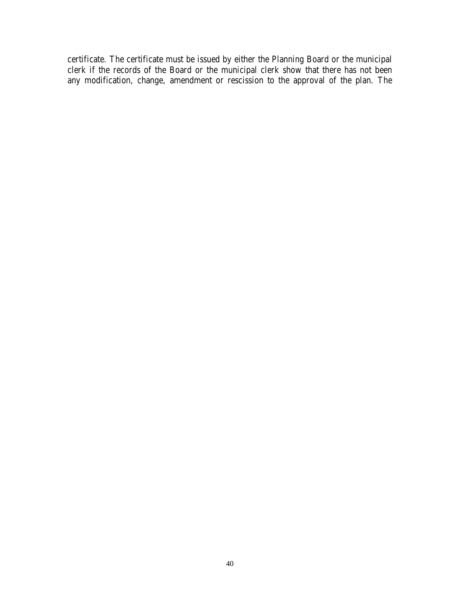certificate. The certificate must be issued by either the Planning Board or the municipal clerk if the records of the Board or the municipal clerk show that there has not been any modification, change, amendment or rescission to the approval of the plan. The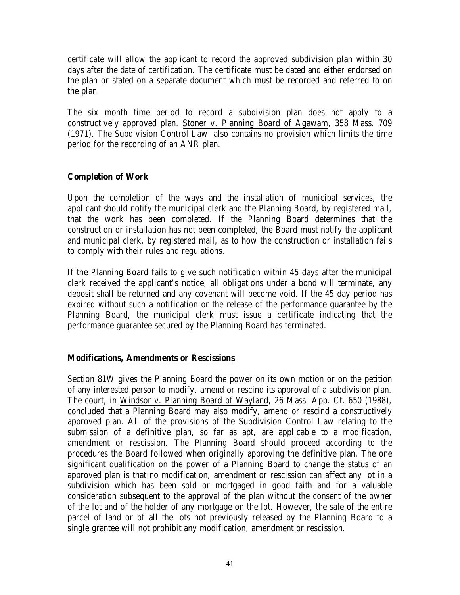certificate will allow the applicant to record the approved subdivision plan within 30 days after the date of certification. The certificate must be dated and either endorsed on the plan or stated on a separate document which must be recorded and referred to on the plan.

The six month time period to record a subdivision plan does not apply to a constructively approved plan. Stoner v. Planning Board of Agawam, 358 Mass. 709 (1971). The Subdivision Control Law also contains no provision which limits the time period for the recording of an ANR plan.

## **Completion of Work**

Upon the completion of the ways and the installation of municipal services, the applicant should notify the municipal clerk and the Planning Board, by registered mail, that the work has been completed. If the Planning Board determines that the construction or installation has not been completed, the Board must notify the applicant and municipal clerk, by registered mail, as to how the construction or installation fails to comply with their rules and regulations.

If the Planning Board fails to give such notification within 45 days after the municipal clerk received the applicant's notice, all obligations under a bond will terminate, any deposit shall be returned and any covenant will become void. If the 45 day period has expired without such a notification or the release of the performance guarantee by the Planning Board, the municipal clerk must issue a certificate indicating that the performance guarantee secured by the Planning Board has terminated.

#### **Modifications, Amendments or Rescissions**

Section 81W gives the Planning Board the power on its own motion or on the petition of any interested person to modify, amend or rescind its approval of a subdivision plan. The court, in Windsor v. Planning Board of Wayland, 26 Mass. App. Ct. 650 (1988), concluded that a Planning Board may also modify, amend or rescind a constructively approved plan. All of the provisions of the Subdivision Control Law relating to the submission of a definitive plan, so far as apt, are applicable to a modification, amendment or rescission. The Planning Board should proceed according to the procedures the Board followed when originally approving the definitive plan. The one significant qualification on the power of a Planning Board to change the status of an approved plan is that no modification, amendment or rescission can affect any lot in a subdivision which has been sold or mortgaged in good faith and for a valuable consideration subsequent to the approval of the plan without the consent of the owner of the lot and of the holder of any mortgage on the lot. However, the sale of the entire parcel of land or of all the lots not previously released by the Planning Board to a single grantee will not prohibit any modification, amendment or rescission.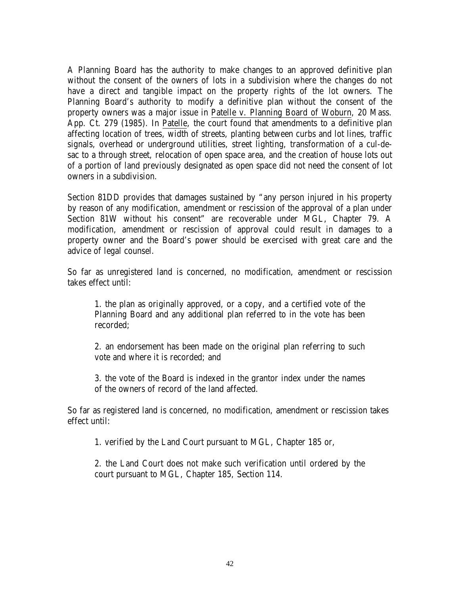A Planning Board has the authority to make changes to an approved definitive plan without the consent of the owners of lots in a subdivision where the changes do not have a direct and tangible impact on the property rights of the lot owners. The Planning Board's authority to modify a definitive plan without the consent of the property owners was a major issue in Patelle v. Planning Board of Woburn, 20 Mass. App. Ct. 279 (1985). In Patelle, the court found that amendments to a definitive plan affecting location of trees, width of streets, planting between curbs and lot lines, traffic signals, overhead or underground utilities, street lighting, transformation of a cul-desac to a through street, relocation of open space area, and the creation of house lots out of a portion of land previously designated as open space did not need the consent of lot owners in a subdivision.

Section 81DD provides that damages sustained by "any person injured in his property by reason of any modification, amendment or rescission of the approval of a plan under Section 81W without his consent" are recoverable under MGL, Chapter 79. A modification, amendment or rescission of approval could result in damages to a property owner and the Board's power should be exercised with great care and the advice of legal counsel.

So far as unregistered land is concerned, no modification, amendment or rescission takes effect until:

1. the plan as originally approved, or a copy, and a certified vote of the Planning Board and any additional plan referred to in the vote has been recorded;

2. an endorsement has been made on the original plan referring to such vote and where it is recorded; and

3. the vote of the Board is indexed in the grantor index under the names of the owners of record of the land affected.

So far as registered land is concerned, no modification, amendment or rescission takes effect until:

1. verified by the Land Court pursuant to MGL, Chapter 185 or,

2. the Land Court does not make such verification until ordered by the court pursuant to MGL, Chapter 185, Section 114.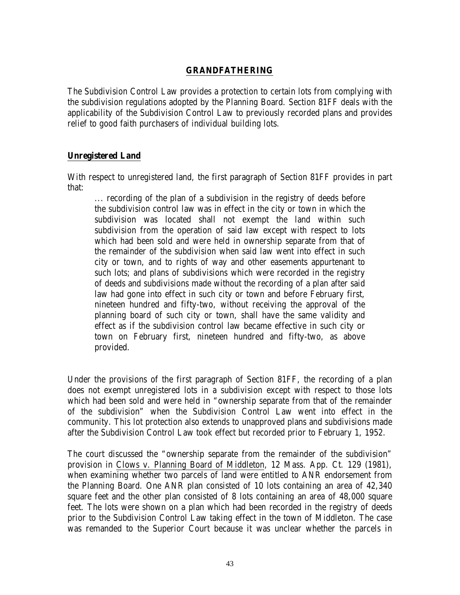#### **GRANDFATHERING**

The Subdivision Control Law provides a protection to certain lots from complying with the subdivision regulations adopted by the Planning Board. Section 81FF deals with the applicability of the Subdivision Control Law to previously recorded plans and provides relief to good faith purchasers of individual building lots.

#### **Unregistered Land**

With respect to unregistered land, the first paragraph of Section 81FF provides in part that:

... recording of the plan of a subdivision in the registry of deeds before the subdivision control law was in effect in the city or town in which the subdivision was located shall not exempt the land within such subdivision from the operation of said law except with respect to lots which had been sold and were held in ownership separate from that of the remainder of the subdivision when said law went into effect in such city or town, and to rights of way and other easements appurtenant to such lots; and plans of subdivisions which were recorded in the registry of deeds and subdivisions made without the recording of a plan after said law had gone into effect in such city or town and before February first, nineteen hundred and fifty-two, without receiving the approval of the planning board of such city or town, shall have the same validity and effect as if the subdivision control law became effective in such city or town on February first, nineteen hundred and fifty-two, as above provided.

Under the provisions of the first paragraph of Section 81FF, the recording of a plan does not exempt unregistered lots in a subdivision except with respect to those lots which had been sold and were held in "ownership separate from that of the remainder of the subdivision" when the Subdivision Control Law went into effect in the community. This lot protection also extends to unapproved plans and subdivisions made after the Subdivision Control Law took effect but recorded prior to February 1, 1952.

The court discussed the "ownership separate from the remainder of the subdivision" provision in Clows v. Planning Board of Middleton, 12 Mass. App. Ct. 129 (1981), when examining whether two parcels of land were entitled to ANR endorsement from the Planning Board. One ANR plan consisted of 10 lots containing an area of 42,340 square feet and the other plan consisted of 8 lots containing an area of 48,000 square feet. The lots were shown on a plan which had been recorded in the registry of deeds prior to the Subdivision Control Law taking effect in the town of Middleton. The case was remanded to the Superior Court because it was unclear whether the parcels in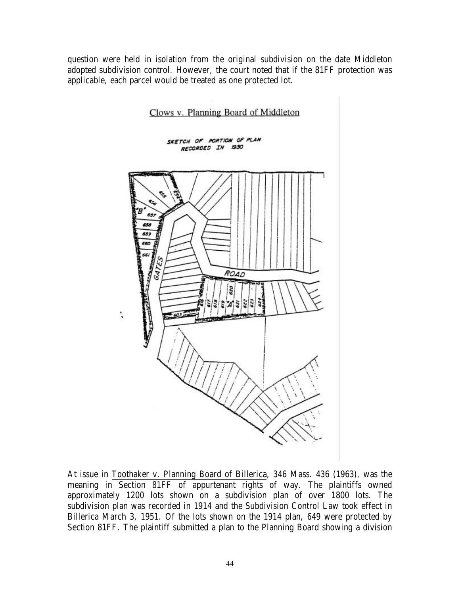question were held in isolation from the original subdivision on the date Middleton adopted subdivision control. However, the court noted that if the 81FF protection was applicable, each parcel would be treated as one protected lot.



At issue in Toothaker v. Planning Board of Billerica, 346 Mass. 436 (1963), was the meaning in Section 81FF of appurtenant rights of way. The plaintiffs owned approximately 1200 lots shown on a subdivision plan of over 1800 lots. The subdivision plan was recorded in 1914 and the Subdivision Control Law took effect in Billerica March 3, 1951. Of the lots shown on the 1914 plan, 649 were protected by Section 81FF. The plaintiff submitted a plan to the Planning Board showing a division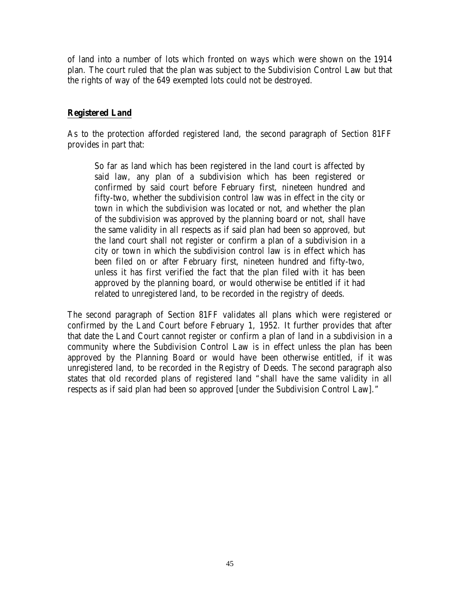of land into a number of lots which fronted on ways which were shown on the 1914 plan. The court ruled that the plan was subject to the Subdivision Control Law but that the rights of way of the 649 exempted lots could not be destroyed.

#### **Registered Land**

As to the protection afforded registered land, the second paragraph of Section 81FF provides in part that:

So far as land which has been registered in the land court is affected by said law, any plan of a subdivision which has been registered or confirmed by said court before February first, nineteen hundred and fifty-two, whether the subdivision control law was in effect in the city or town in which the subdivision was located or not, and whether the plan of the subdivision was approved by the planning board or not, shall have the same validity in all respects as if said plan had been so approved, but the land court shall not register or confirm a plan of a subdivision in a city or town in which the subdivision control law is in effect which has been filed on or after February first, nineteen hundred and fifty-two, unless it has first verified the fact that the plan filed with it has been approved by the planning board, or would otherwise be entitled if it had related to unregistered land, to be recorded in the registry of deeds.

The second paragraph of Section 81FF validates all plans which were registered or confirmed by the Land Court before February 1, 1952. It further provides that after that date the Land Court cannot register or confirm a plan of land in a subdivision in a community where the Subdivision Control Law is in effect unless the plan has been approved by the Planning Board or would have been otherwise entitled, if it was unregistered land, to be recorded in the Registry of Deeds. The second paragraph also states that old recorded plans of registered land "shall have the same validity in all respects as if said plan had been so approved [under the Subdivision Control Law]."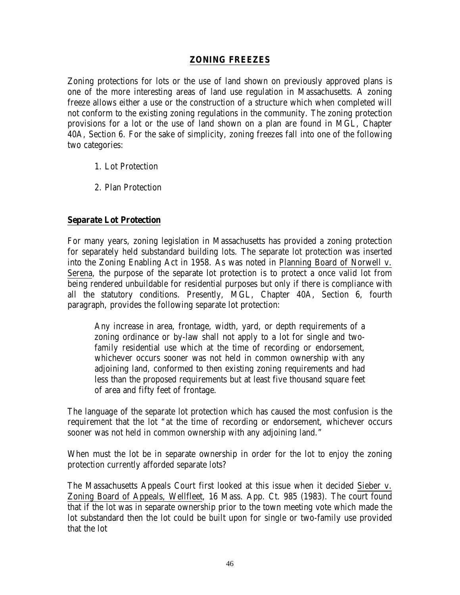#### **ZONING FREEZES**

Zoning protections for lots or the use of land shown on previously approved plans is one of the more interesting areas of land use regulation in Massachusetts. A zoning freeze allows either a use or the construction of a structure which when completed will not conform to the existing zoning regulations in the community. The zoning protection provisions for a lot or the use of land shown on a plan are found in MGL, Chapter 40A, Section 6. For the sake of simplicity, zoning freezes fall into one of the following two categories:

- 1. Lot Protection
- 2. Plan Protection

## **Separate Lot Protection**

For many years, zoning legislation in Massachusetts has provided a zoning protection for separately held substandard building lots. The separate lot protection was inserted into the Zoning Enabling Act in 1958. As was noted in Planning Board of Norwell v. Serena, the purpose of the separate lot protection is to protect a once valid lot from being rendered unbuildable for residential purposes but only if there is compliance with all the statutory conditions. Presently, MGL, Chapter 40A, Section 6, fourth paragraph, provides the following separate lot protection:

Any increase in area, frontage, width, yard, or depth requirements of a zoning ordinance or by-law shall not apply to a lot for single and twofamily residential use which at the time of recording or endorsement, whichever occurs sooner was not held in common ownership with any adjoining land, conformed to then existing zoning requirements and had less than the proposed requirements but at least five thousand square feet of area and fifty feet of frontage.

The language of the separate lot protection which has caused the most confusion is the requirement that the lot "at the time of recording or endorsement, whichever occurs sooner was not held in common ownership with any adjoining land."

When must the lot be in separate ownership in order for the lot to enjoy the zoning protection currently afforded separate lots?

The Massachusetts Appeals Court first looked at this issue when it decided Sieber v. Zoning Board of Appeals, Wellfleet, 16 Mass. App. Ct. 985 (1983). The court found that if the lot was in separate ownership prior to the town meeting vote which made the lot substandard then the lot could be built upon for single or two-family use provided that the lot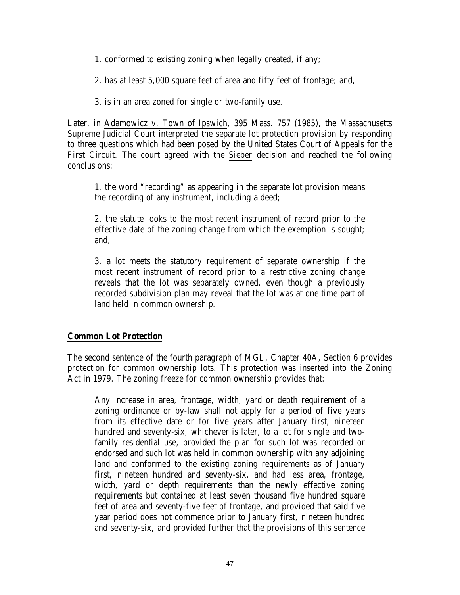- 1. conformed to existing zoning when legally created, if any;
- 2. has at least 5,000 square feet of area and fifty feet of frontage; and,
- 3. is in an area zoned for single or two-family use.

Later, in Adamowicz v. Town of Ipswich, 395 Mass. 757 (1985), the Massachusetts Supreme Judicial Court interpreted the separate lot protection provision by responding to three questions which had been posed by the United States Court of Appeals for the First Circuit. The court agreed with the Sieber decision and reached the following conclusions:

1. the word "recording" as appearing in the separate lot provision means the recording of any instrument, including a deed;

2. the statute looks to the most recent instrument of record prior to the effective date of the zoning change from which the exemption is sought; and,

3. a lot meets the statutory requirement of separate ownership if the most recent instrument of record prior to a restrictive zoning change reveals that the lot was separately owned, even though a previously recorded subdivision plan may reveal that the lot was at one time part of land held in common ownership.

#### **Common Lot Protection**

The second sentence of the fourth paragraph of MGL, Chapter 40A, Section 6 provides protection for common ownership lots. This protection was inserted into the Zoning Act in 1979. The zoning freeze for common ownership provides that:

Any increase in area, frontage, width, yard or depth requirement of a zoning ordinance or by-law shall not apply for a period of five years from its effective date or for five years after January first, nineteen hundred and seventy-six, whichever is later, to a lot for single and twofamily residential use, provided the plan for such lot was recorded or endorsed and such lot was held in common ownership with any adjoining land and conformed to the existing zoning requirements as of January first, nineteen hundred and seventy-six, and had less area, frontage, width, yard or depth requirements than the newly effective zoning requirements but contained at least seven thousand five hundred square feet of area and seventy-five feet of frontage, and provided that said five year period does not commence prior to January first, nineteen hundred and seventy-six, and provided further that the provisions of this sentence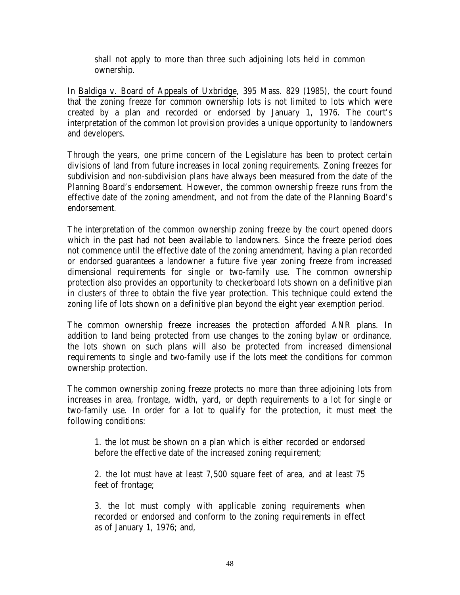shall not apply to more than three such adjoining lots held in common ownership.

In Baldiga v. Board of Appeals of Uxbridge, 395 Mass. 829 (1985), the court found that the zoning freeze for common ownership lots is not limited to lots which were created by a plan and recorded or endorsed by January 1, 1976. The court's interpretation of the common lot provision provides a unique opportunity to landowners and developers.

Through the years, one prime concern of the Legislature has been to protect certain divisions of land from future increases in local zoning requirements. Zoning freezes for subdivision and non-subdivision plans have always been measured from the date of the Planning Board's endorsement. However, the common ownership freeze runs from the effective date of the zoning amendment, and not from the date of the Planning Board's endorsement.

The interpretation of the common ownership zoning freeze by the court opened doors which in the past had not been available to landowners. Since the freeze period does not commence until the effective date of the zoning amendment, having a plan recorded or endorsed guarantees a landowner a future five year zoning freeze from increased dimensional requirements for single or two-family use. The common ownership protection also provides an opportunity to checkerboard lots shown on a definitive plan in clusters of three to obtain the five year protection. This technique could extend the zoning life of lots shown on a definitive plan beyond the eight year exemption period.

The common ownership freeze increases the protection afforded ANR plans. In addition to land being protected from use changes to the zoning bylaw or ordinance, the lots shown on such plans will also be protected from increased dimensional requirements to single and two-family use if the lots meet the conditions for common ownership protection.

The common ownership zoning freeze protects no more than three adjoining lots from increases in area, frontage, width, yard, or depth requirements to a lot for single or two-family use. In order for a lot to qualify for the protection, it must meet the following conditions:

1. the lot must be shown on a plan which is either recorded or endorsed before the effective date of the increased zoning requirement;

2. the lot must have at least 7,500 square feet of area, and at least 75 feet of frontage;

3. the lot must comply with applicable zoning requirements when recorded or endorsed and conform to the zoning requirements in effect as of January 1, 1976; and,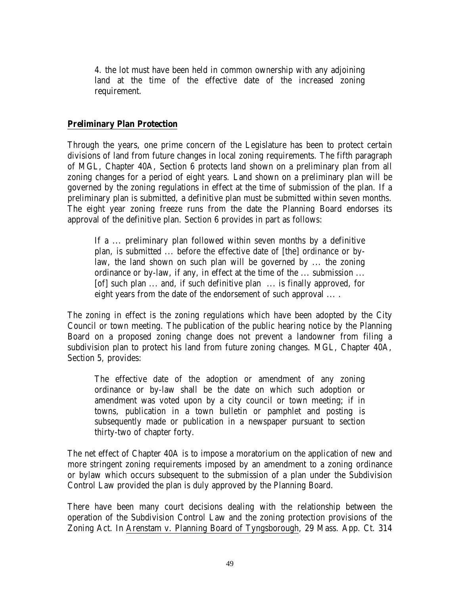4. the lot must have been held in common ownership with any adjoining land at the time of the effective date of the increased zoning requirement.

#### **Preliminary Plan Protection**

Through the years, one prime concern of the Legislature has been to protect certain divisions of land from future changes in local zoning requirements. The fifth paragraph of MGL, Chapter 40A, Section 6 protects land shown on a preliminary plan from all zoning changes for a period of eight years. Land shown on a preliminary plan will be governed by the zoning regulations in effect at the time of submission of the plan. If a preliminary plan is submitted, a definitive plan must be submitted within seven months. The eight year zoning freeze runs from the date the Planning Board endorses its approval of the definitive plan. Section 6 provides in part as follows:

If a ... preliminary plan followed within seven months by a definitive plan, is submitted ... before the effective date of [the] ordinance or bylaw, the land shown on such plan will be governed by ... the zoning ordinance or by-law, if any, in effect at the time of the ... submission ... [of] such plan ... and, if such definitive plan ... is finally approved, for eight years from the date of the endorsement of such approval ... .

The zoning in effect is the zoning regulations which have been adopted by the City Council or town meeting. The publication of the public hearing notice by the Planning Board on a proposed zoning change does not prevent a landowner from filing a subdivision plan to protect his land from future zoning changes. MGL, Chapter 40A, Section 5, provides:

The effective date of the adoption or amendment of any zoning ordinance or by-law shall be the date on which such adoption or amendment was voted upon by a city council or town meeting; if in towns, publication in a town bulletin or pamphlet and posting is subsequently made or publication in a newspaper pursuant to section thirty-two of chapter forty.

The net effect of Chapter 40A is to impose a moratorium on the application of new and more stringent zoning requirements imposed by an amendment to a zoning ordinance or bylaw which occurs subsequent to the submission of a plan under the Subdivision Control Law provided the plan is duly approved by the Planning Board.

There have been many court decisions dealing with the relationship between the operation of the Subdivision Control Law and the zoning protection provisions of the Zoning Act. In Arenstam v. Planning Board of Tyngsborough, 29 Mass. App. Ct. 314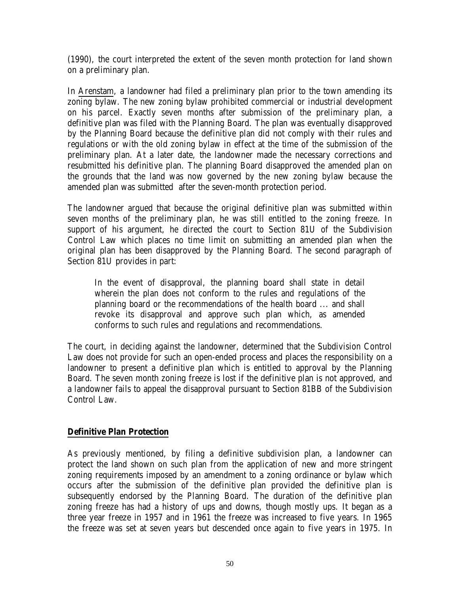(1990), the court interpreted the extent of the seven month protection for land shown on a preliminary plan.

In Arenstam, a landowner had filed a preliminary plan prior to the town amending its zoning bylaw. The new zoning bylaw prohibited commercial or industrial development on his parcel. Exactly seven months after submission of the preliminary plan, a definitive plan was filed with the Planning Board. The plan was eventually disapproved by the Planning Board because the definitive plan did not comply with their rules and regulations or with the old zoning bylaw in effect at the time of the submission of the preliminary plan. At a later date, the landowner made the necessary corrections and resubmitted his definitive plan. The planning Board disapproved the amended plan on the grounds that the land was now governed by the new zoning bylaw because the amended plan was submitted after the seven-month protection period.

The landowner argued that because the original definitive plan was submitted within seven months of the preliminary plan, he was still entitled to the zoning freeze. In support of his argument, he directed the court to Section 81U of the Subdivision Control Law which places no time limit on submitting an amended plan when the original plan has been disapproved by the Planning Board. The second paragraph of Section 81U provides in part:

In the event of disapproval, the planning board shall state in detail wherein the plan does not conform to the rules and regulations of the planning board or the recommendations of the health board ... and shall revoke its disapproval and approve such plan which, as amended conforms to such rules and regulations and recommendations.

The court, in deciding against the landowner, determined that the Subdivision Control Law does not provide for such an open-ended process and places the responsibility on a landowner to present a definitive plan which is entitled to approval by the Planning Board. The seven month zoning freeze is lost if the definitive plan is not approved, and a landowner fails to appeal the disapproval pursuant to Section 81BB of the Subdivision Control Law.

#### **Definitive Plan Protection**

As previously mentioned, by filing a definitive subdivision plan, a landowner can protect the land shown on such plan from the application of new and more stringent zoning requirements imposed by an amendment to a zoning ordinance or bylaw which occurs after the submission of the definitive plan provided the definitive plan is subsequently endorsed by the Planning Board. The duration of the definitive plan zoning freeze has had a history of ups and downs, though mostly ups. It began as a three year freeze in 1957 and in 1961 the freeze was increased to five years. In 1965 the freeze was set at seven years but descended once again to five years in 1975. In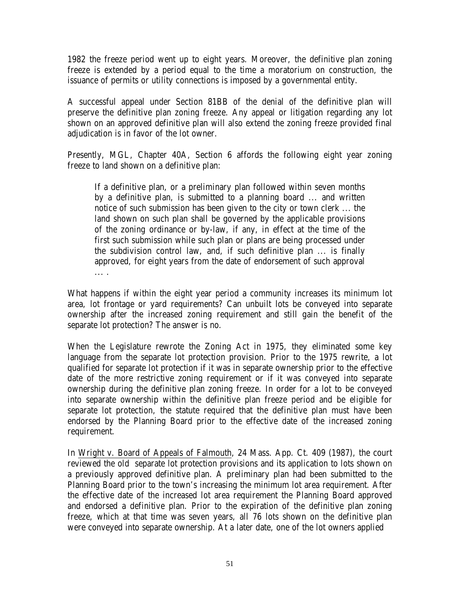1982 the freeze period went up to eight years. Moreover, the definitive plan zoning freeze is extended by a period equal to the time a moratorium on construction, the issuance of permits or utility connections is imposed by a governmental entity.

A successful appeal under Section 81BB of the denial of the definitive plan will preserve the definitive plan zoning freeze. Any appeal or litigation regarding any lot shown on an approved definitive plan will also extend the zoning freeze provided final adjudication is in favor of the lot owner.

Presently, MGL, Chapter 40A, Section 6 affords the following eight year zoning freeze to land shown on a definitive plan:

If a definitive plan, or a preliminary plan followed within seven months by a definitive plan, is submitted to a planning board ... and written notice of such submission has been given to the city or town clerk ... the land shown on such plan shall be governed by the applicable provisions of the zoning ordinance or by-law, if any, in effect at the time of the first such submission while such plan or plans are being processed under the subdivision control law, and, if such definitive plan ... is finally approved, for eight years from the date of endorsement of such approval ... .

What happens if within the eight year period a community increases its minimum lot area, lot frontage or yard requirements? Can unbuilt lots be conveyed into separate ownership after the increased zoning requirement and still gain the benefit of the separate lot protection? The answer is no.

When the Legislature rewrote the Zoning Act in 1975, they eliminated some key language from the separate lot protection provision. Prior to the 1975 rewrite, a lot qualified for separate lot protection if it was in separate ownership prior to the effective date of the more restrictive zoning requirement or if it was conveyed into separate ownership during the definitive plan zoning freeze. In order for a lot to be conveyed into separate ownership within the definitive plan freeze period and be eligible for separate lot protection, the statute required that the definitive plan must have been endorsed by the Planning Board prior to the effective date of the increased zoning requirement.

In Wright v. Board of Appeals of Falmouth, 24 Mass. App. Ct. 409 (1987), the court reviewed the old separate lot protection provisions and its application to lots shown on a previously approved definitive plan. A preliminary plan had been submitted to the Planning Board prior to the town's increasing the minimum lot area requirement. After the effective date of the increased lot area requirement the Planning Board approved and endorsed a definitive plan. Prior to the expiration of the definitive plan zoning freeze, which at that time was seven years, all 76 lots shown on the definitive plan were conveyed into separate ownership. At a later date, one of the lot owners applied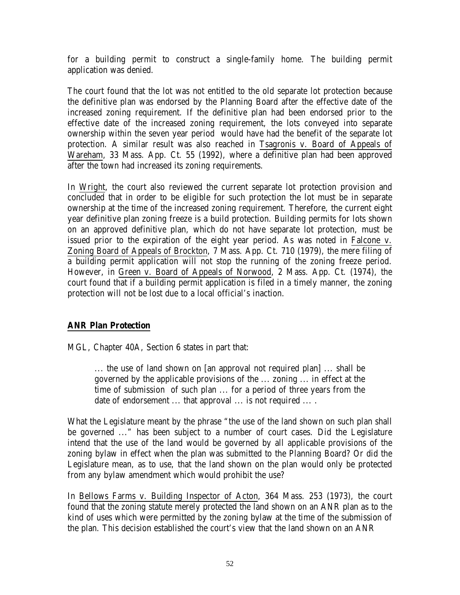for a building permit to construct a single-family home. The building permit application was denied.

The court found that the lot was not entitled to the old separate lot protection because the definitive plan was endorsed by the Planning Board after the effective date of the increased zoning requirement. If the definitive plan had been endorsed prior to the effective date of the increased zoning requirement, the lots conveyed into separate ownership within the seven year period would have had the benefit of the separate lot protection. A similar result was also reached in Tsagronis v. Board of Appeals of Wareham, 33 Mass. App. Ct. 55 (1992), where a definitive plan had been approved after the town had increased its zoning requirements.

In Wright, the court also reviewed the current separate lot protection provision and concluded that in order to be eligible for such protection the lot must be in separate ownership at the time of the increased zoning requirement. Therefore, the current eight year definitive plan zoning freeze is a build protection. Building permits for lots shown on an approved definitive plan, which do not have separate lot protection, must be issued prior to the expiration of the eight year period. As was noted in Falcone v. Zoning Board of Appeals of Brockton, 7 Mass. App. Ct. 710 (1979), the mere filing of a building permit application will not stop the running of the zoning freeze period. However, in Green v. Board of Appeals of Norwood, 2 Mass. App. Ct. (1974), the court found that if a building permit application is filed in a timely manner, the zoning protection will not be lost due to a local official's inaction.

# **ANR Plan Protection**

MGL, Chapter 40A, Section 6 states in part that:

... the use of land shown on [an approval not required plan] ... shall be governed by the applicable provisions of the ... zoning ... in effect at the time of submission of such plan ... for a period of three years from the date of endorsement ... that approval ... is not required ... .

What the Legislature meant by the phrase "the use of the land shown on such plan shall be governed ..." has been subject to a number of court cases. Did the Legislature intend that the use of the land would be governed by all applicable provisions of the zoning bylaw in effect when the plan was submitted to the Planning Board? Or did the Legislature mean, as to use, that the land shown on the plan would only be protected from any bylaw amendment which would prohibit the use?

In Bellows Farms v. Building Inspector of Acton, 364 Mass. 253 (1973), the court found that the zoning statute merely protected the land shown on an ANR plan as to the kind of uses which were permitted by the zoning bylaw at the time of the submission of the plan. This decision established the court's view that the land shown on an ANR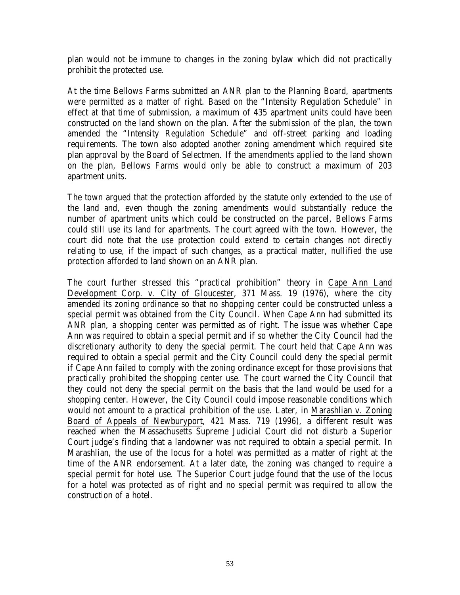plan would not be immune to changes in the zoning bylaw which did not practically prohibit the protected use.

At the time Bellows Farms submitted an ANR plan to the Planning Board, apartments were permitted as a matter of right. Based on the "Intensity Regulation Schedule" in effect at that time of submission, a maximum of 435 apartment units could have been constructed on the land shown on the plan. After the submission of the plan, the town amended the "Intensity Regulation Schedule" and off-street parking and loading requirements. The town also adopted another zoning amendment which required site plan approval by the Board of Selectmen. If the amendments applied to the land shown on the plan, Bellows Farms would only be able to construct a maximum of 203 apartment units.

The town argued that the protection afforded by the statute only extended to the use of the land and, even though the zoning amendments would substantially reduce the number of apartment units which could be constructed on the parcel, Bellows Farms could still use its land for apartments. The court agreed with the town. However, the court did note that the use protection could extend to certain changes not directly relating to use, if the impact of such changes, as a practical matter, nullified the use protection afforded to land shown on an ANR plan.

The court further stressed this "practical prohibition" theory in Cape Ann Land Development Corp. v. City of Gloucester, 371 Mass. 19 (1976), where the city amended its zoning ordinance so that no shopping center could be constructed unless a special permit was obtained from the City Council. When Cape Ann had submitted its ANR plan, a shopping center was permitted as of right. The issue was whether Cape Ann was required to obtain a special permit and if so whether the City Council had the discretionary authority to deny the special permit. The court held that Cape Ann was required to obtain a special permit and the City Council could deny the special permit if Cape Ann failed to comply with the zoning ordinance except for those provisions that practically prohibited the shopping center use. The court warned the City Council that they could not deny the special permit on the basis that the land would be used for a shopping center. However, the City Council could impose reasonable conditions which would not amount to a practical prohibition of the use. Later, in Marashlian v. Zoning Board of Appeals of Newburyport, 421 Mass. 719 (1996), a different result was reached when the Massachusetts Supreme Judicial Court did not disturb a Superior Court judge's finding that a landowner was not required to obtain a special permit. In Marashlian, the use of the locus for a hotel was permitted as a matter of right at the time of the ANR endorsement. At a later date, the zoning was changed to require a special permit for hotel use. The Superior Court judge found that the use of the locus for a hotel was protected as of right and no special permit was required to allow the construction of a hotel.